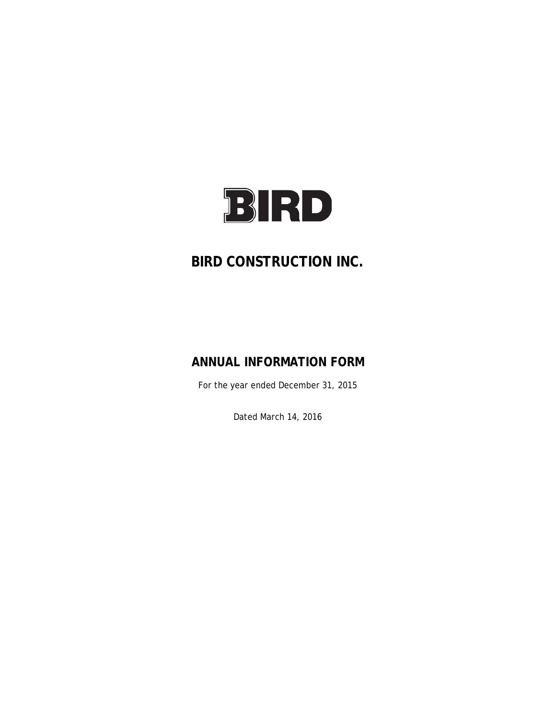

# **BIRD CONSTRUCTION INC.**

# **ANNUAL INFORMATION FORM**

For the year ended December 31, 2015

Dated March 14, 2016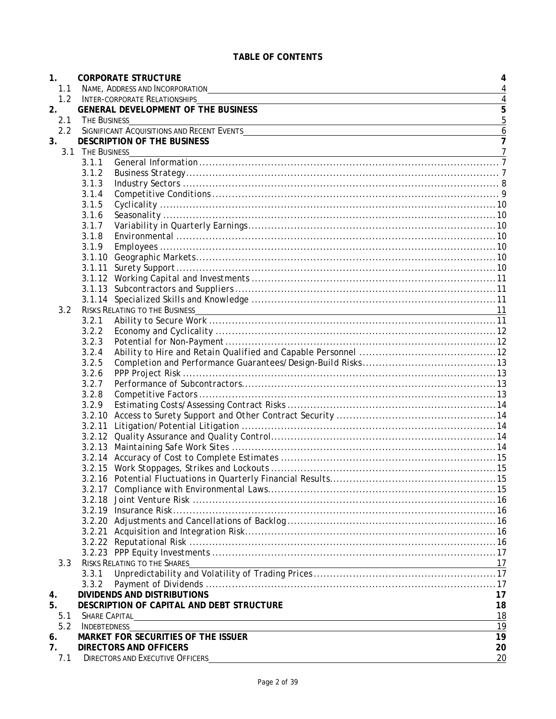| 1.             |                      | <b>CORPORATE STRUCTURE</b>                                                                                                                                                                                                    | 4              |
|----------------|----------------------|-------------------------------------------------------------------------------------------------------------------------------------------------------------------------------------------------------------------------------|----------------|
| 1.1            |                      | NAME, ADDRESS AND INCORPORATION                                                                                                                                                                                               | $\overline{4}$ |
| 1.2            |                      | <b>INTER-CORPORATE RELATIONSHIPS</b>                                                                                                                                                                                          | $\overline{4}$ |
| 2.             |                      | <b>GENERAL DEVELOPMENT OF THE BUSINESS</b>                                                                                                                                                                                    | $\overline{5}$ |
| 2.1            | THE BUSINESS         |                                                                                                                                                                                                                               | 5              |
| 2.2            |                      |                                                                                                                                                                                                                               | $\overline{6}$ |
| 3.             |                      | <b>DESCRIPTION OF THE BUSINESS</b>                                                                                                                                                                                            | $\overline{7}$ |
|                | 3.1 THE BUSINESS     |                                                                                                                                                                                                                               | $\overline{7}$ |
|                | 3.1.1                |                                                                                                                                                                                                                               |                |
|                | 3.1.2                |                                                                                                                                                                                                                               |                |
|                | 3.1.3                |                                                                                                                                                                                                                               |                |
|                | 3.1.4                |                                                                                                                                                                                                                               |                |
|                | 3.1.5                |                                                                                                                                                                                                                               |                |
|                | 3.1.6                |                                                                                                                                                                                                                               |                |
|                | 3.1.7                |                                                                                                                                                                                                                               |                |
|                | 3.1.8                |                                                                                                                                                                                                                               |                |
|                | 3.1.9                |                                                                                                                                                                                                                               |                |
|                |                      |                                                                                                                                                                                                                               |                |
|                | 3.1.11               |                                                                                                                                                                                                                               |                |
|                |                      |                                                                                                                                                                                                                               |                |
|                |                      |                                                                                                                                                                                                                               |                |
|                |                      |                                                                                                                                                                                                                               |                |
| 3.2            |                      | <b>RISKS RELATING TO THE BUSINESS</b>                                                                                                                                                                                         |                |
|                | 3.2.1                |                                                                                                                                                                                                                               |                |
|                | 3.2.2                |                                                                                                                                                                                                                               |                |
|                | 3.2.3                |                                                                                                                                                                                                                               |                |
|                | 3.2.4                |                                                                                                                                                                                                                               |                |
|                | 3.2.5                |                                                                                                                                                                                                                               |                |
|                | 3.2.6                |                                                                                                                                                                                                                               |                |
|                | 3.2.7                |                                                                                                                                                                                                                               |                |
|                | 3.2.8                |                                                                                                                                                                                                                               |                |
|                | 3.2.9                |                                                                                                                                                                                                                               |                |
|                |                      |                                                                                                                                                                                                                               |                |
|                |                      |                                                                                                                                                                                                                               |                |
|                |                      |                                                                                                                                                                                                                               |                |
|                |                      |                                                                                                                                                                                                                               |                |
|                |                      |                                                                                                                                                                                                                               |                |
|                |                      |                                                                                                                                                                                                                               |                |
|                |                      |                                                                                                                                                                                                                               |                |
|                |                      |                                                                                                                                                                                                                               |                |
|                |                      |                                                                                                                                                                                                                               |                |
|                |                      |                                                                                                                                                                                                                               |                |
|                |                      |                                                                                                                                                                                                                               |                |
|                |                      |                                                                                                                                                                                                                               |                |
|                |                      |                                                                                                                                                                                                                               |                |
|                |                      |                                                                                                                                                                                                                               |                |
| 3.3            |                      | RISKS RELATING TO THE SHARES                                                                                                                                                                                                  | 17             |
|                | 3.3.1                |                                                                                                                                                                                                                               |                |
|                | 3.3.2                |                                                                                                                                                                                                                               |                |
| 4.             |                      | <b>DIVIDENDS AND DISTRIBUTIONS</b>                                                                                                                                                                                            | 17             |
| 5.             |                      | DESCRIPTION OF CAPITAL AND DEBT STRUCTURE                                                                                                                                                                                     | 18             |
| 5.1            | <b>SHARE CAPITAL</b> | the control of the control of the control of the control of the control of the control of the control of the control of the control of the control of the control of the control of the control of the control of the control | 18             |
| 5.2            | <b>INDEBTEDNESS</b>  |                                                                                                                                                                                                                               | 19             |
| 6.             |                      | MARKET FOR SECURITIES OF THE ISSUER                                                                                                                                                                                           | 19             |
| 7 <sub>1</sub> |                      | <b>DIRECTORS AND OFFICERS</b>                                                                                                                                                                                                 | 20             |
| 7.1            |                      | <b>DIRECTORS AND EXECUTIVE OFFICERS</b>                                                                                                                                                                                       | 20             |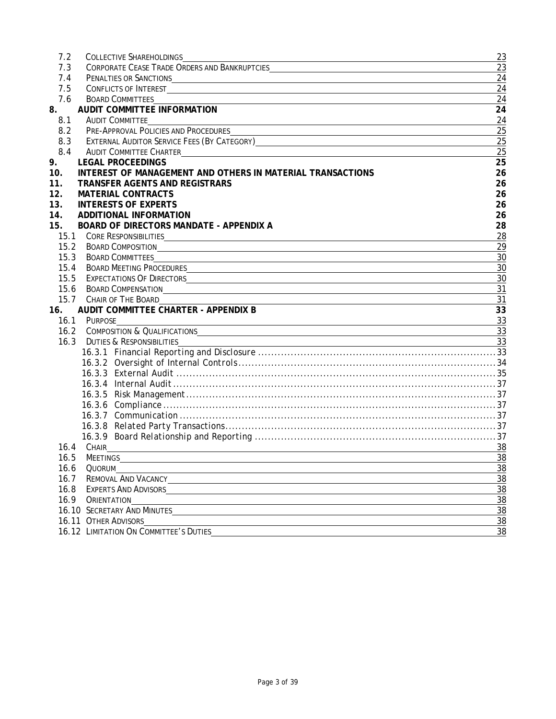| 7.2  | <b>COLLECTIVE SHAREHOLDINGS</b><br><u> 1989 - Johann Stoff, Amerikaansk politiker († 1908)</u>                                                                                                                                      | 23              |
|------|-------------------------------------------------------------------------------------------------------------------------------------------------------------------------------------------------------------------------------------|-----------------|
| 7.3  |                                                                                                                                                                                                                                     | 23              |
| 7.4  | PENALTIES OR SANCTIONS<br><u> 1989 - Johann Barnett, fransk politiker (d. 1989)</u>                                                                                                                                                 | 24              |
| 7.5  |                                                                                                                                                                                                                                     | 24              |
| 7.6  | <b>BOARD COMMITTEES</b>                                                                                                                                                                                                             | 24              |
| 8.   | <b>AUDIT COMMITTEE INFORMATION</b>                                                                                                                                                                                                  | 24              |
| 8.1  | <b>AUDIT COMMITTEE</b><br>and the control of the control of the control of the control of the control of the control of the control of the                                                                                          | 24              |
| 8.2  |                                                                                                                                                                                                                                     | 25              |
| 8.3  | EXTERNAL AUDITOR SERVICE FEES (BY CATEGORY) CONTERNATION CONTERNATION CONTERNAL AUDITOR SERVICE FEES (BY CATEGORY)                                                                                                                  | 25              |
| 8.4  | <b>AUDIT COMMITTEE CHARTER</b><br><u> 1989 - Johann Stein, fransk politik (d. 1989)</u>                                                                                                                                             | 25              |
| 9.   | <b>LEGAL PROCEEDINGS</b>                                                                                                                                                                                                            | 25              |
| 10.  | INTEREST OF MANAGEMENT AND OTHERS IN MATERIAL TRANSACTIONS                                                                                                                                                                          | 26              |
| 11.  | <b>TRANSFER AGENTS AND REGISTRARS</b>                                                                                                                                                                                               | 26              |
| 12.  | <b>MATERIAL CONTRACTS</b>                                                                                                                                                                                                           | 26              |
| 13.  | <b>INTERESTS OF EXPERTS</b>                                                                                                                                                                                                         | 26              |
| 14.  | <b>ADDITIONAL INFORMATION</b>                                                                                                                                                                                                       | 26              |
| 15.  | <b>BOARD OF DIRECTORS MANDATE - APPENDIX A</b>                                                                                                                                                                                      | 28              |
|      | 15.1 CORE RESPONSIBILITIES                                                                                                                                                                                                          | 28              |
| 15.2 | <b>BOARD COMPOSITION</b>                                                                                                                                                                                                            | 29              |
| 15.3 | <u> 1989 - Johann Stoff, amerikansk politiker (d. 1989)</u><br><b>BOARD COMMITTEES</b>                                                                                                                                              | 30              |
| 15.4 |                                                                                                                                                                                                                                     | 30              |
| 15.5 | BOARD MEETING PROCEDURES <b>Example 2008</b> 2009 2010 2021 2022 2023 2024 2022 2023 2024 2022 2023 2024 2022 2023 2024 2022 2023 2024 2022 2023 2024 2022 2023 2024 2022 2023 2024 2022 2023 2024 2022 2023 2024 2022 2023 2024 20 |                 |
|      |                                                                                                                                                                                                                                     | 30              |
| 15.6 | <b>BOARD COMPENSATION</b>                                                                                                                                                                                                           | 31              |
|      | 15.7 CHAIR OF THE BOARD                                                                                                                                                                                                             | 31              |
| 16.  | AUDIT COMMITTEE CHARTER - APPENDIX B                                                                                                                                                                                                | 33              |
| 16.1 | PURPOSE<br><u> 1980 - Andrea Brasil, amerikan bizkaitar (h. 1980).</u>                                                                                                                                                              | 33              |
|      | 16.2 COMPOSITION & QUALIFICATIONS CONTRACTED AND RESIDENCE AND RESIDENCE AND RESIDENCE AND RESIDENCE AND RESIDENCE AND RESIDENCE AND RESIDENCE AND RESIDENCE AND RESIDENCE AND RESIDENCE AND RESIDENCE AND RESIDENCE AND RESID      | $\overline{33}$ |
| 16.3 | DUTIES & RESPONSIBILITIES<br>and the control of the control of the control of the control of the control of the control of the control of the                                                                                       | 33              |
|      |                                                                                                                                                                                                                                     |                 |
|      |                                                                                                                                                                                                                                     |                 |
|      |                                                                                                                                                                                                                                     |                 |
|      |                                                                                                                                                                                                                                     |                 |
|      |                                                                                                                                                                                                                                     |                 |
|      |                                                                                                                                                                                                                                     |                 |
|      |                                                                                                                                                                                                                                     |                 |
|      |                                                                                                                                                                                                                                     |                 |
|      |                                                                                                                                                                                                                                     |                 |
|      | 16.4 CHAIR                                                                                                                                                                                                                          | 38              |
|      | 16.5 MEETINGS                                                                                                                                                                                                                       | $\frac{38}{5}$  |
| 16.6 | Quorum                                                                                                                                                                                                                              | $\frac{38}{5}$  |
| 16.7 | <b>REMOVAL AND VACANCY</b>                                                                                                                                                                                                          | $\frac{38}{38}$ |
|      | 16.8 EXPERTS AND ADVISORS                                                                                                                                                                                                           |                 |
|      | 16.9 ORIENTATION                                                                                                                                                                                                                    | $\overline{38}$ |
|      | <b>16.10 SECRETARY AND MINUTES</b>                                                                                                                                                                                                  | $\overline{38}$ |
|      | 16.11 OTHER ADVISORS                                                                                                                                                                                                                | $\overline{38}$ |
|      | 16.12 LIMITATION ON COMMITTEE'S DUTIES                                                                                                                                                                                              | 38              |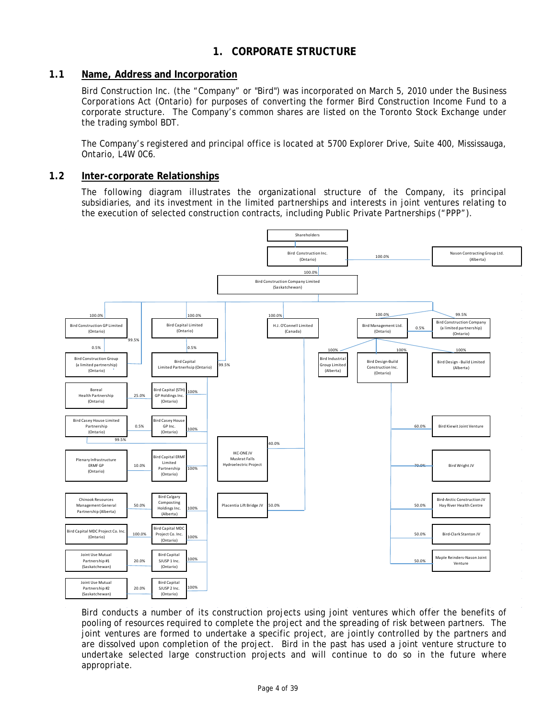## **1. CORPORATE STRUCTURE**

## <span id="page-3-1"></span><span id="page-3-0"></span>**1.1 Name, Address and Incorporation**

Bird Construction Inc. (the "Company" or "Bird") was incorporated on March 5, 2010 under the *Business Corporations Act* (Ontario) for purposes of converting the former Bird Construction Income Fund to a corporate structure. The Company's common shares are listed on the Toronto Stock Exchange under the trading symbol BDT.

The Company's registered and principal office is located at 5700 Explorer Drive, Suite 400, Mississauga, Ontario, L4W 0C6.

### <span id="page-3-2"></span>**1.2 Inter-corporate Relationships**

The following diagram illustrates the organizational structure of the Company, its principal subsidiaries, and its investment in the limited partnerships and interests in joint ventures relating to the execution of selected construction contracts, including Public Private Partnerships ("PPP").



Bird conducts a number of its construction projects using joint ventures which offer the benefits of pooling of resources required to complete the project and the spreading of risk between partners. The joint ventures are formed to undertake a specific project, are jointly controlled by the partners and are dissolved upon completion of the project. Bird in the past has used a joint venture structure to undertake selected large construction projects and will continue to do so in the future where appropriate.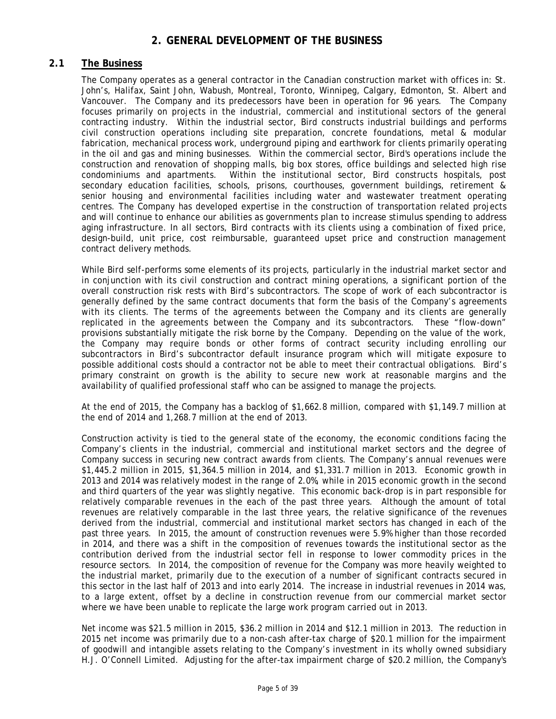## **2. GENERAL DEVELOPMENT OF THE BUSINESS**

## <span id="page-4-1"></span><span id="page-4-0"></span>**2.1 The Business**

The Company operates as a general contractor in the Canadian construction market with offices in: St. John's, Halifax, Saint John, Wabush, Montreal, Toronto, Winnipeg, Calgary, Edmonton, St. Albert and Vancouver. The Company and its predecessors have been in operation for 96 years. The Company focuses primarily on projects in the industrial, commercial and institutional sectors of the general contracting industry. Within the industrial sector, Bird constructs industrial buildings and performs civil construction operations including site preparation, concrete foundations, metal & modular fabrication, mechanical process work, underground piping and earthwork for clients primarily operating in the oil and gas and mining businesses. Within the commercial sector, Bird's operations include the construction and renovation of shopping malls, big box stores, office buildings and selected high rise condominiums and apartments. Within the institutional sector, Bird constructs hospitals, post secondary education facilities, schools, prisons, courthouses, government buildings, retirement & senior housing and environmental facilities including water and wastewater treatment operating centres. The Company has developed expertise in the construction of transportation related projects and will continue to enhance our abilities as governments plan to increase stimulus spending to address aging infrastructure. In all sectors, Bird contracts with its clients using a combination of fixed price, design-build, unit price, cost reimbursable, guaranteed upset price and construction management contract delivery methods.

While Bird self-performs some elements of its projects, particularly in the industrial market sector and in conjunction with its civil construction and contract mining operations, a significant portion of the overall construction risk rests with Bird's subcontractors. The scope of work of each subcontractor is generally defined by the same contract documents that form the basis of the Company's agreements with its clients. The terms of the agreements between the Company and its clients are generally replicated in the agreements between the Company and its subcontractors. These "flow-down" provisions substantially mitigate the risk borne by the Company. Depending on the value of the work, the Company may require bonds or other forms of contract security including enrolling our subcontractors in Bird's subcontractor default insurance program which will mitigate exposure to possible additional costs should a contractor not be able to meet their contractual obligations. Bird's primary constraint on growth is the ability to secure new work at reasonable margins and the availability of qualified professional staff who can be assigned to manage the projects.

At the end of 2015, the Company has a backlog of \$1,662.8 million, compared with \$1,149.7 million at the end of 2014 and 1,268.7 million at the end of 2013.

Construction activity is tied to the general state of the economy, the economic conditions facing the Company's clients in the industrial, commercial and institutional market sectors and the degree of Company success in securing new contract awards from clients. The Company's annual revenues were \$1,445.2 million in 2015, \$1,364.5 million in 2014, and \$1,331.7 million in 2013. Economic growth in 2013 and 2014 was relatively modest in the range of 2.0%, while in 2015 economic growth in the second and third quarters of the year was slightly negative. This economic back-drop is in part responsible for relatively comparable revenues in the each of the past three years. Although the amount of total revenues are relatively comparable in the last three years, the relative significance of the revenues derived from the industrial, commercial and institutional market sectors has changed in each of the past three years. In 2015, the amount of construction revenues were 5.9% higher than those recorded in 2014, and there was a shift in the composition of revenues towards the institutional sector as the contribution derived from the industrial sector fell in response to lower commodity prices in the resource sectors. In 2014, the composition of revenue for the Company was more heavily weighted to the industrial market, primarily due to the execution of a number of significant contracts secured in this sector in the last half of 2013 and into early 2014. The increase in industrial revenues in 2014 was, to a large extent, offset by a decline in construction revenue from our commercial market sector where we have been unable to replicate the large work program carried out in 2013.

Net income was \$21.5 million in 2015, \$36.2 million in 2014 and \$12.1 million in 2013. The reduction in 2015 net income was primarily due to a non-cash after-tax charge of \$20.1 million for the impairment of goodwill and intangible assets relating to the Company's investment in its wholly owned subsidiary H.J. O'Connell Limited. Adjusting for the after-tax impairment charge of \$20.2 million, the Company's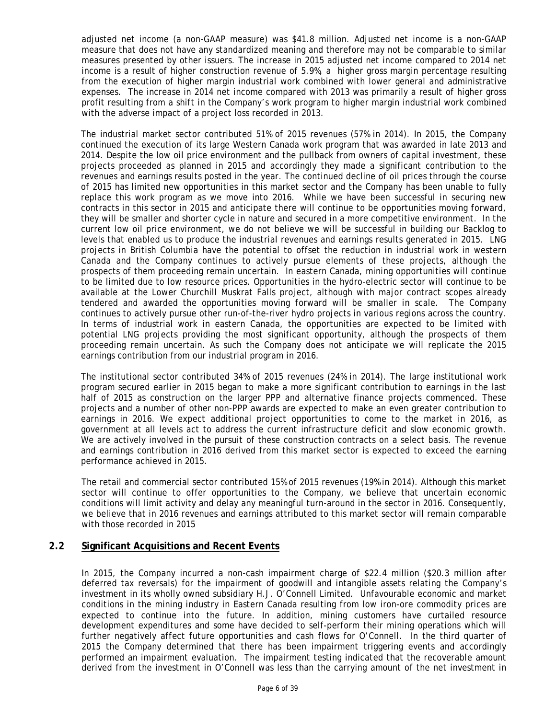adjusted net income (a non-GAAP measure) was \$41.8 million. Adjusted net income is a non-GAAP measure that does not have any standardized meaning and therefore may not be comparable to similar measures presented by other issuers. The increase in 2015 adjusted net income compared to 2014 net income is a result of higher construction revenue of 5.9%, a higher gross margin percentage resulting from the execution of higher margin industrial work combined with lower general and administrative expenses. The increase in 2014 net income compared with 2013 was primarily a result of higher gross profit resulting from a shift in the Company's work program to higher margin industrial work combined with the adverse impact of a project loss recorded in 2013.

The industrial market sector contributed 51% of 2015 revenues (57% in 2014). In 2015, the Company continued the execution of its large Western Canada work program that was awarded in late 2013 and 2014. Despite the low oil price environment and the pullback from owners of capital investment, these projects proceeded as planned in 2015 and accordingly they made a significant contribution to the revenues and earnings results posted in the year. The continued decline of oil prices through the course of 2015 has limited new opportunities in this market sector and the Company has been unable to fully replace this work program as we move into 2016. While we have been successful in securing new contracts in this sector in 2015 and anticipate there will continue to be opportunities moving forward, they will be smaller and shorter cycle in nature and secured in a more competitive environment. In the current low oil price environment, we do not believe we will be successful in building our Backlog to levels that enabled us to produce the industrial revenues and earnings results generated in 2015. LNG projects in British Columbia have the potential to offset the reduction in industrial work in western Canada and the Company continues to actively pursue elements of these projects, although the prospects of them proceeding remain uncertain. In eastern Canada, mining opportunities will continue to be limited due to low resource prices. Opportunities in the hydro-electric sector will continue to be available at the Lower Churchill Muskrat Falls project, although with major contract scopes already tendered and awarded the opportunities moving forward will be smaller in scale. The Company continues to actively pursue other run-of-the-river hydro projects in various regions across the country. In terms of industrial work in eastern Canada, the opportunities are expected to be limited with potential LNG projects providing the most significant opportunity, although the prospects of them proceeding remain uncertain. As such the Company does not anticipate we will replicate the 2015 earnings contribution from our industrial program in 2016.

The institutional sector contributed 34% of 2015 revenues (24% in 2014). The large institutional work program secured earlier in 2015 began to make a more significant contribution to earnings in the last half of 2015 as construction on the larger PPP and alternative finance projects commenced. These projects and a number of other non-PPP awards are expected to make an even greater contribution to earnings in 2016. We expect additional project opportunities to come to the market in 2016, as government at all levels act to address the current infrastructure deficit and slow economic growth. We are actively involved in the pursuit of these construction contracts on a select basis. The revenue and earnings contribution in 2016 derived from this market sector is expected to exceed the earning performance achieved in 2015.

The retail and commercial sector contributed 15% of 2015 revenues (19% in 2014). Although this market sector will continue to offer opportunities to the Company, we believe that uncertain economic conditions will limit activity and delay any meaningful turn-around in the sector in 2016. Consequently, we believe that in 2016 revenues and earnings attributed to this market sector will remain comparable with those recorded in 2015

## <span id="page-5-0"></span>**2.2 Significant Acquisitions and Recent Events**

In 2015, the Company incurred a non-cash impairment charge of \$22.4 million (\$20.3 million after deferred tax reversals) for the impairment of goodwill and intangible assets relating the Company's investment in its wholly owned subsidiary H.J. O'Connell Limited. Unfavourable economic and market conditions in the mining industry in Eastern Canada resulting from low iron-ore commodity prices are expected to continue into the future. In addition, mining customers have curtailed resource development expenditures and some have decided to self-perform their mining operations which will further negatively affect future opportunities and cash flows for O'Connell. In the third quarter of 2015 the Company determined that there has been impairment triggering events and accordingly performed an impairment evaluation. The impairment testing indicated that the recoverable amount derived from the investment in O'Connell was less than the carrying amount of the net investment in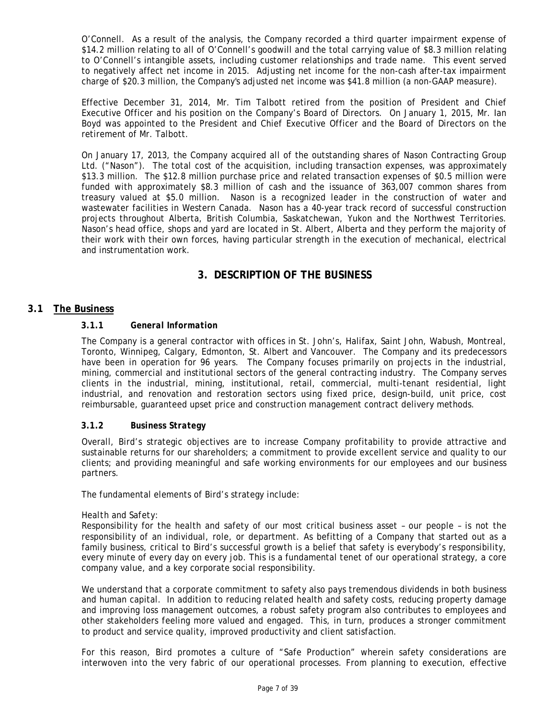O'Connell. As a result of the analysis, the Company recorded a third quarter impairment expense of \$14.2 million relating to all of O'Connell's goodwill and the total carrying value of \$8.3 million relating to O'Connell's intangible assets, including customer relationships and trade name. This event served to negatively affect net income in 2015. Adjusting net income for the non-cash after-tax impairment charge of \$20.3 million, the Company's adjusted net income was \$41.8 million (a non-GAAP measure).

Effective December 31, 2014, Mr. Tim Talbott retired from the position of President and Chief Executive Officer and his position on the Company's Board of Directors. On January 1, 2015, Mr. Ian Boyd was appointed to the President and Chief Executive Officer and the Board of Directors on the retirement of Mr. Talbott.

On January 17, 2013, the Company acquired all of the outstanding shares of Nason Contracting Group Ltd. ("Nason"). The total cost of the acquisition, including transaction expenses, was approximately \$13.3 million. The \$12.8 million purchase price and related transaction expenses of \$0.5 million were funded with approximately \$8.3 million of cash and the issuance of 363,007 common shares from treasury valued at \$5.0 million. Nason is a recognized leader in the construction of water and wastewater facilities in Western Canada. Nason has a 40-year track record of successful construction projects throughout Alberta, British Columbia, Saskatchewan, Yukon and the Northwest Territories. Nason's head office, shops and yard are located in St. Albert, Alberta and they perform the majority of their work with their own forces, having particular strength in the execution of mechanical, electrical and instrumentation work.

## **3. DESCRIPTION OF THE BUSINESS**

## <span id="page-6-2"></span><span id="page-6-1"></span><span id="page-6-0"></span>**3.1 The Business**

### **3.1.1** *General Information*

The Company is a general contractor with offices in St. John's, Halifax, Saint John, Wabush, Montreal, Toronto, Winnipeg, Calgary, Edmonton, St. Albert and Vancouver. The Company and its predecessors have been in operation for 96 years. The Company focuses primarily on projects in the industrial, mining, commercial and institutional sectors of the general contracting industry. The Company serves clients in the industrial, mining, institutional, retail, commercial, multi-tenant residential, light industrial, and renovation and restoration sectors using fixed price, design-build, unit price, cost reimbursable, guaranteed upset price and construction management contract delivery methods.

### <span id="page-6-3"></span>**3.1.2** *Business Strategy*

Overall, Bird's strategic objectives are to increase Company profitability to provide attractive and sustainable returns for our shareholders; a commitment to provide excellent service and quality to our clients; and providing meaningful and safe working environments for our employees and our business partners.

The fundamental elements of Bird's strategy include:

#### *Health and Safety:*

Responsibility for the health and safety of our most critical business asset – our people – is not the responsibility of an individual, role, or department. As befitting of a Company that started out as a family business, critical to Bird's successful growth is a belief that safety is everybody's responsibility, every minute of every day on every job. This is a fundamental tenet of our operational strategy, a core company value, and a key corporate social responsibility.

We understand that a corporate commitment to safety also pays tremendous dividends in both business and human capital. In addition to reducing related health and safety costs, reducing property damage and improving loss management outcomes, a robust safety program also contributes to employees and other stakeholders feeling more valued and engaged. This, in turn, produces a stronger commitment to product and service quality, improved productivity and client satisfaction.

For this reason, Bird promotes a culture of "Safe Production" wherein safety considerations are interwoven into the very fabric of our operational processes. From planning to execution, effective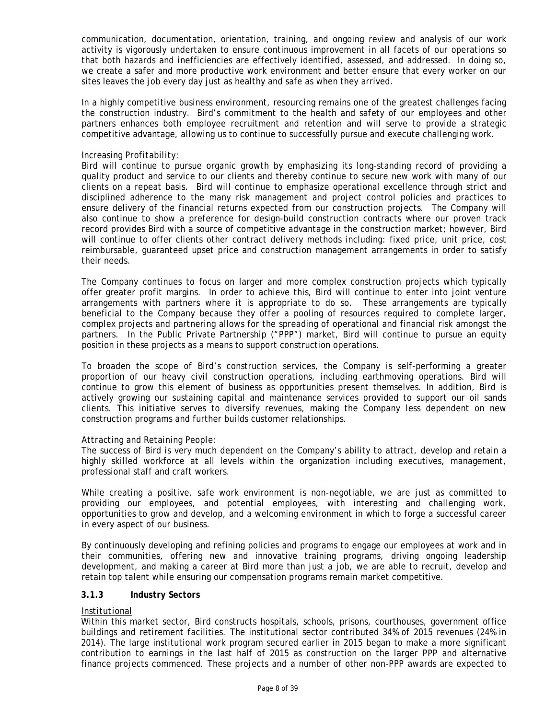communication, documentation, orientation, training, and ongoing review and analysis of our work activity is vigorously undertaken to ensure continuous improvement in all facets of our operations so that both hazards and inefficiencies are effectively identified, assessed, and addressed. In doing so, we create a safer and more productive work environment and better ensure that every worker on our sites leaves the job every day just as healthy and safe as when they arrived.

In a highly competitive business environment, resourcing remains one of the greatest challenges facing the construction industry. Bird's commitment to the health and safety of our employees and other partners enhances both employee recruitment and retention and will serve to provide a strategic competitive advantage, allowing us to continue to successfully pursue and execute challenging work.

#### *Increasing Profitability:*

Bird will continue to pursue organic growth by emphasizing its long-standing record of providing a quality product and service to our clients and thereby continue to secure new work with many of our clients on a repeat basis. Bird will continue to emphasize operational excellence through strict and disciplined adherence to the many risk management and project control policies and practices to ensure delivery of the financial returns expected from our construction projects. The Company will also continue to show a preference for design-build construction contracts where our proven track record provides Bird with a source of competitive advantage in the construction market; however, Bird will continue to offer clients other contract delivery methods including: fixed price, unit price, cost reimbursable, guaranteed upset price and construction management arrangements in order to satisfy their needs.

The Company continues to focus on larger and more complex construction projects which typically offer greater profit margins. In order to achieve this, Bird will continue to enter into joint venture arrangements with partners where it is appropriate to do so. These arrangements are typically beneficial to the Company because they offer a pooling of resources required to complete larger, complex projects and partnering allows for the spreading of operational and financial risk amongst the partners. In the Public Private Partnership ("PPP") market, Bird will continue to pursue an equity position in these projects as a means to support construction operations.

To broaden the scope of Bird's construction services, the Company is self-performing a greater proportion of our heavy civil construction operations, including earthmoving operations. Bird will continue to grow this element of business as opportunities present themselves. In addition, Bird is actively growing our sustaining capital and maintenance services provided to support our oil sands clients. This initiative serves to diversify revenues, making the Company less dependent on new construction programs and further builds customer relationships.

### *Attracting and Retaining People:*

The success of Bird is very much dependent on the Company's ability to attract, develop and retain a highly skilled workforce at all levels within the organization including executives, management, professional staff and craft workers.

While creating a positive, safe work environment is non-negotiable, we are just as committed to providing our employees, and potential employees, with interesting and challenging work, opportunities to grow and develop, and a welcoming environment in which to forge a successful career in every aspect of our business.

By continuously developing and refining policies and programs to engage our employees at work and in their communities, offering new and innovative training programs, driving ongoing leadership development, and making a career at Bird more than just a job, we are able to recruit, develop and retain top talent while ensuring our compensation programs remain market competitive.

### <span id="page-7-0"></span>**3.1.3** *Industry Sectors*

#### *Institutional*

Within this market sector, Bird constructs hospitals, schools, prisons, courthouses, government office buildings and retirement facilities. The institutional sector contributed 34% of 2015 revenues (24% in 2014). The large institutional work program secured earlier in 2015 began to make a more significant contribution to earnings in the last half of 2015 as construction on the larger PPP and alternative finance projects commenced. These projects and a number of other non-PPP awards are expected to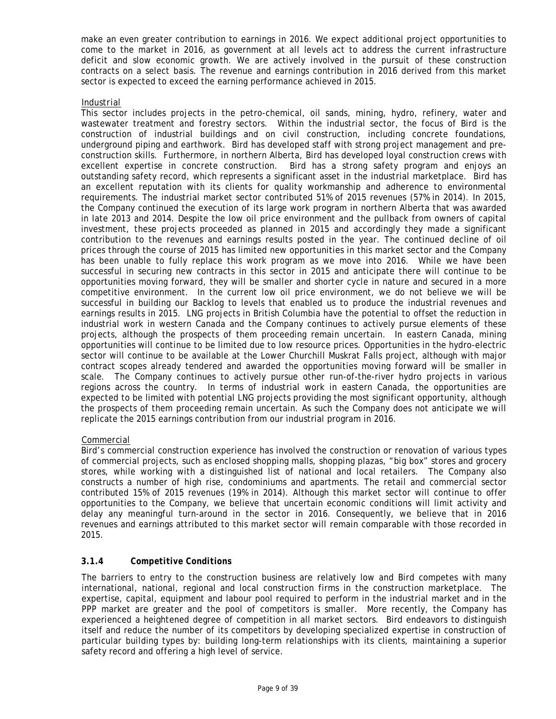make an even greater contribution to earnings in 2016. We expect additional project opportunities to come to the market in 2016, as government at all levels act to address the current infrastructure deficit and slow economic growth. We are actively involved in the pursuit of these construction contracts on a select basis. The revenue and earnings contribution in 2016 derived from this market sector is expected to exceed the earning performance achieved in 2015.

### *Industrial*

This sector includes projects in the petro-chemical, oil sands, mining, hydro, refinery, water and wastewater treatment and forestry sectors. Within the industrial sector, the focus of Bird is the construction of industrial buildings and on civil construction, including concrete foundations, underground piping and earthwork. Bird has developed staff with strong project management and preconstruction skills. Furthermore, in northern Alberta, Bird has developed loyal construction crews with excellent expertise in concrete construction. Bird has a strong safety program and enjoys an outstanding safety record, which represents a significant asset in the industrial marketplace. Bird has an excellent reputation with its clients for quality workmanship and adherence to environmental requirements. The industrial market sector contributed 51% of 2015 revenues (57% in 2014). In 2015, the Company continued the execution of its large work program in northern Alberta that was awarded in late 2013 and 2014. Despite the low oil price environment and the pullback from owners of capital investment, these projects proceeded as planned in 2015 and accordingly they made a significant contribution to the revenues and earnings results posted in the year. The continued decline of oil prices through the course of 2015 has limited new opportunities in this market sector and the Company has been unable to fully replace this work program as we move into 2016. While we have been successful in securing new contracts in this sector in 2015 and anticipate there will continue to be opportunities moving forward, they will be smaller and shorter cycle in nature and secured in a more competitive environment. In the current low oil price environment, we do not believe we will be successful in building our Backlog to levels that enabled us to produce the industrial revenues and earnings results in 2015. LNG projects in British Columbia have the potential to offset the reduction in industrial work in western Canada and the Company continues to actively pursue elements of these projects, although the prospects of them proceeding remain uncertain. In eastern Canada, mining opportunities will continue to be limited due to low resource prices. Opportunities in the hydro-electric sector will continue to be available at the Lower Churchill Muskrat Falls project, although with major contract scopes already tendered and awarded the opportunities moving forward will be smaller in scale. The Company continues to actively pursue other run-of-the-river hydro projects in various regions across the country. In terms of industrial work in eastern Canada, the opportunities are expected to be limited with potential LNG projects providing the most significant opportunity, although the prospects of them proceeding remain uncertain. As such the Company does not anticipate we will replicate the 2015 earnings contribution from our industrial program in 2016.

## *Commercial*

Bird's commercial construction experience has involved the construction or renovation of various types of commercial projects, such as enclosed shopping malls, shopping plazas, "big box" stores and grocery stores, while working with a distinguished list of national and local retailers. The Company also constructs a number of high rise, condominiums and apartments. The retail and commercial sector contributed 15% of 2015 revenues (19% in 2014). Although this market sector will continue to offer opportunities to the Company, we believe that uncertain economic conditions will limit activity and delay any meaningful turn-around in the sector in 2016. Consequently, we believe that in 2016 revenues and earnings attributed to this market sector will remain comparable with those recorded in 2015.

## <span id="page-8-0"></span>**3.1.4** *Competitive Conditions*

The barriers to entry to the construction business are relatively low and Bird competes with many international, national, regional and local construction firms in the construction marketplace. The expertise, capital, equipment and labour pool required to perform in the industrial market and in the PPP market are greater and the pool of competitors is smaller. More recently, the Company has experienced a heightened degree of competition in all market sectors. Bird endeavors to distinguish itself and reduce the number of its competitors by developing specialized expertise in construction of particular building types by: building long-term relationships with its clients, maintaining a superior safety record and offering a high level of service.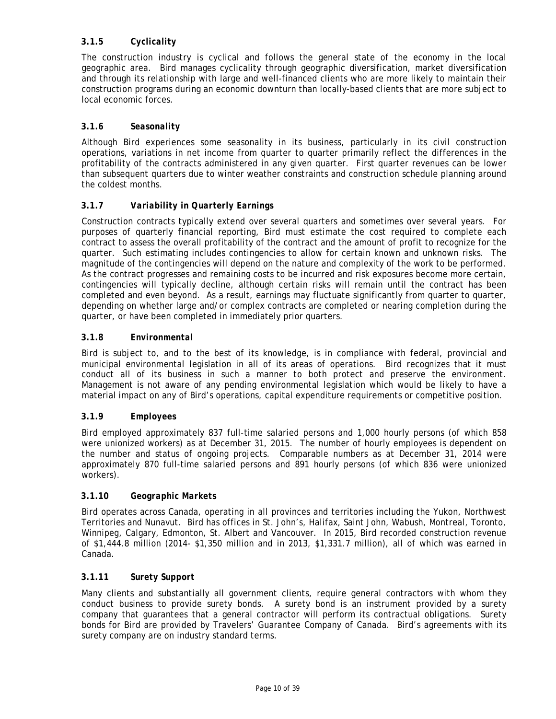## <span id="page-9-0"></span>**3.1.5** *Cyclicality*

The construction industry is cyclical and follows the general state of the economy in the local geographic area. Bird manages cyclicality through geographic diversification, market diversification and through its relationship with large and well-financed clients who are more likely to maintain their construction programs during an economic downturn than locally-based clients that are more subject to local economic forces.

## <span id="page-9-1"></span>**3.1.6** *Seasonality*

Although Bird experiences some seasonality in its business, particularly in its civil construction operations, variations in net income from quarter to quarter primarily reflect the differences in the profitability of the contracts administered in any given quarter. First quarter revenues can be lower than subsequent quarters due to winter weather constraints and construction schedule planning around the coldest months.

## <span id="page-9-2"></span>**3.1.7** *Variability in Quarterly Earnings*

Construction contracts typically extend over several quarters and sometimes over several years. For purposes of quarterly financial reporting, Bird must estimate the cost required to complete each contract to assess the overall profitability of the contract and the amount of profit to recognize for the quarter. Such estimating includes contingencies to allow for certain known and unknown risks. The magnitude of the contingencies will depend on the nature and complexity of the work to be performed. As the contract progresses and remaining costs to be incurred and risk exposures become more certain, contingencies will typically decline, although certain risks will remain until the contract has been completed and even beyond. As a result, earnings may fluctuate significantly from quarter to quarter, depending on whether large and/or complex contracts are completed or nearing completion during the quarter, or have been completed in immediately prior quarters.

## <span id="page-9-3"></span>**3.1.8** *Environmental*

Bird is subject to, and to the best of its knowledge, is in compliance with federal, provincial and municipal environmental legislation in all of its areas of operations. Bird recognizes that it must conduct all of its business in such a manner to both protect and preserve the environment. Management is not aware of any pending environmental legislation which would be likely to have a material impact on any of Bird's operations, capital expenditure requirements or competitive position.

## <span id="page-9-4"></span>**3.1.9** *Employees*

Bird employed approximately 837 full-time salaried persons and 1,000 hourly persons (of which 858 were unionized workers) as at December 31, 2015. The number of hourly employees is dependent on the number and status of ongoing projects. Comparable numbers as at December 31, 2014 were approximately 870 full-time salaried persons and 891 hourly persons (of which 836 were unionized workers).

## <span id="page-9-5"></span>**3.1.10** *Geographic Markets*

Bird operates across Canada, operating in all provinces and territories including the Yukon, Northwest Territories and Nunavut. Bird has offices in St. John's, Halifax, Saint John, Wabush, Montreal, Toronto, Winnipeg, Calgary, Edmonton, St. Albert and Vancouver. In 2015, Bird recorded construction revenue of \$1,444.8 million (2014- \$1,350 million and in 2013, \$1,331.7 million), all of which was earned in Canada.

### <span id="page-9-6"></span>**3.1.11** *Surety Support*

Many clients and substantially all government clients, require general contractors with whom they conduct business to provide surety bonds. A surety bond is an instrument provided by a surety company that guarantees that a general contractor will perform its contractual obligations. Surety bonds for Bird are provided by Travelers' Guarantee Company of Canada. Bird's agreements with its surety company are on industry standard terms.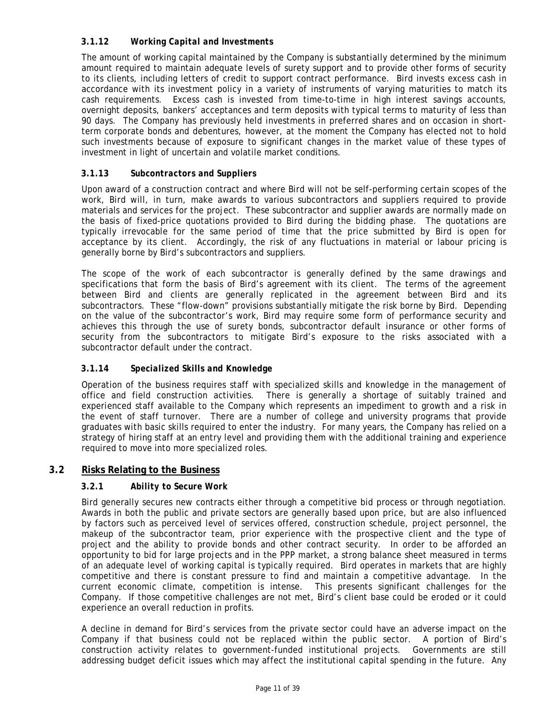## <span id="page-10-0"></span>**3.1.12** *Working Capital and Investments*

The amount of working capital maintained by the Company is substantially determined by the minimum amount required to maintain adequate levels of surety support and to provide other forms of security to its clients, including letters of credit to support contract performance. Bird invests excess cash in accordance with its investment policy in a variety of instruments of varying maturities to match its cash requirements. Excess cash is invested from time-to-time in high interest savings accounts, overnight deposits, bankers' acceptances and term deposits with typical terms to maturity of less than 90 days. The Company has previously held investments in preferred shares and on occasion in shortterm corporate bonds and debentures, however, at the moment the Company has elected not to hold such investments because of exposure to significant changes in the market value of these types of investment in light of uncertain and volatile market conditions.

## <span id="page-10-1"></span>**3.1.13** *Subcontractors and Suppliers*

Upon award of a construction contract and where Bird will not be self-performing certain scopes of the work, Bird will, in turn, make awards to various subcontractors and suppliers required to provide materials and services for the project. These subcontractor and supplier awards are normally made on the basis of fixed-price quotations provided to Bird during the bidding phase. The quotations are typically irrevocable for the same period of time that the price submitted by Bird is open for acceptance by its client. Accordingly, the risk of any fluctuations in material or labour pricing is generally borne by Bird's subcontractors and suppliers.

The scope of the work of each subcontractor is generally defined by the same drawings and specifications that form the basis of Bird's agreement with its client. The terms of the agreement between Bird and clients are generally replicated in the agreement between Bird and its subcontractors. These "flow-down" provisions substantially mitigate the risk borne by Bird. Depending on the value of the subcontractor's work, Bird may require some form of performance security and achieves this through the use of surety bonds, subcontractor default insurance or other forms of security from the subcontractors to mitigate Bird's exposure to the risks associated with a subcontractor default under the contract.

## <span id="page-10-2"></span>**3.1.14** *Specialized Skills and Knowledge*

Operation of the business requires staff with specialized skills and knowledge in the management of office and field construction activities. There is generally a shortage of suitably trained and experienced staff available to the Company which represents an impediment to growth and a risk in the event of staff turnover. There are a number of college and university programs that provide graduates with basic skills required to enter the industry. For many years, the Company has relied on a strategy of hiring staff at an entry level and providing them with the additional training and experience required to move into more specialized roles.

### <span id="page-10-4"></span><span id="page-10-3"></span>**3.2 Risks Relating to the Business**

## **3.2.1** *Ability to Secure Work*

Bird generally secures new contracts either through a competitive bid process or through negotiation. Awards in both the public and private sectors are generally based upon price, but are also influenced by factors such as perceived level of services offered, construction schedule, project personnel, the makeup of the subcontractor team, prior experience with the prospective client and the type of project and the ability to provide bonds and other contract security. In order to be afforded an opportunity to bid for large projects and in the PPP market, a strong balance sheet measured in terms of an adequate level of working capital is typically required. Bird operates in markets that are highly competitive and there is constant pressure to find and maintain a competitive advantage. In the current economic climate, competition is intense. This presents significant challenges for the Company. If those competitive challenges are not met, Bird's client base could be eroded or it could experience an overall reduction in profits.

A decline in demand for Bird's services from the private sector could have an adverse impact on the Company if that business could not be replaced within the public sector. A portion of Bird's construction activity relates to government-funded institutional projects. Governments are still addressing budget deficit issues which may affect the institutional capital spending in the future. Any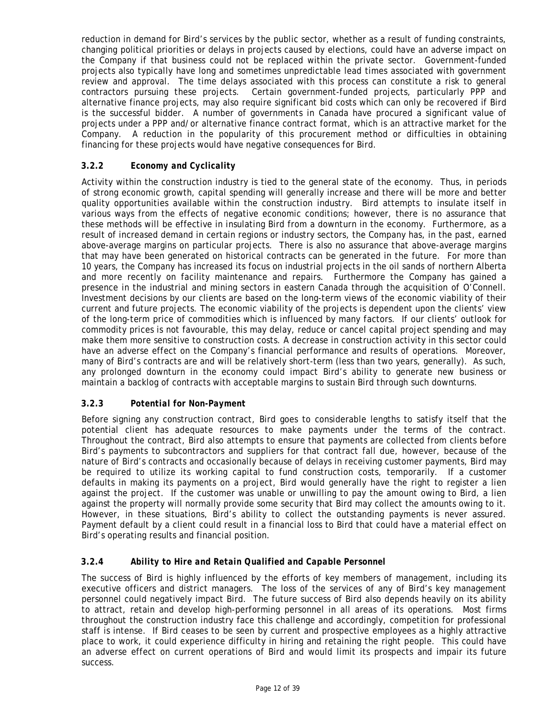reduction in demand for Bird's services by the public sector, whether as a result of funding constraints, changing political priorities or delays in projects caused by elections, could have an adverse impact on the Company if that business could not be replaced within the private sector. Government-funded projects also typically have long and sometimes unpredictable lead times associated with government review and approval. The time delays associated with this process can constitute a risk to general contractors pursuing these projects. Certain government-funded projects, particularly PPP and alternative finance projects, may also require significant bid costs which can only be recovered if Bird is the successful bidder. A number of governments in Canada have procured a significant value of projects under a PPP and/or alternative finance contract format, which is an attractive market for the Company. A reduction in the popularity of this procurement method or difficulties in obtaining financing for these projects would have negative consequences for Bird.

## <span id="page-11-0"></span>**3.2.2** *Economy and Cyclicality*

Activity within the construction industry is tied to the general state of the economy. Thus, in periods of strong economic growth, capital spending will generally increase and there will be more and better quality opportunities available within the construction industry. Bird attempts to insulate itself in various ways from the effects of negative economic conditions; however, there is no assurance that these methods will be effective in insulating Bird from a downturn in the economy. Furthermore, as a result of increased demand in certain regions or industry sectors, the Company has, in the past, earned above-average margins on particular projects. There is also no assurance that above-average margins that may have been generated on historical contracts can be generated in the future. For more than 10 years, the Company has increased its focus on industrial projects in the oil sands of northern Alberta and more recently on facility maintenance and repairs. Furthermore the Company has gained a presence in the industrial and mining sectors in eastern Canada through the acquisition of O'Connell. Investment decisions by our clients are based on the long-term views of the economic viability of their current and future projects. The economic viability of the projects is dependent upon the clients' view of the long-term price of commodities which is influenced by many factors. If our clients' outlook for commodity prices is not favourable, this may delay, reduce or cancel capital project spending and may make them more sensitive to construction costs. A decrease in construction activity in this sector could have an adverse effect on the Company's financial performance and results of operations. Moreover, many of Bird's contracts are and will be relatively short-term (less than two years, generally). As such, any prolonged downturn in the economy could impact Bird's ability to generate new business or maintain a backlog of contracts with acceptable margins to sustain Bird through such downturns.

## <span id="page-11-1"></span>**3.2.3** *Potential for Non-Payment*

Before signing any construction contract, Bird goes to considerable lengths to satisfy itself that the potential client has adequate resources to make payments under the terms of the contract. Throughout the contract, Bird also attempts to ensure that payments are collected from clients before Bird's payments to subcontractors and suppliers for that contract fall due, however, because of the nature of Bird's contracts and occasionally because of delays in receiving customer payments, Bird may be required to utilize its working capital to fund construction costs, temporarily. If a customer defaults in making its payments on a project, Bird would generally have the right to register a lien against the project. If the customer was unable or unwilling to pay the amount owing to Bird, a lien against the property will normally provide some security that Bird may collect the amounts owing to it. However, in these situations, Bird's ability to collect the outstanding payments is never assured. Payment default by a client could result in a financial loss to Bird that could have a material effect on Bird's operating results and financial position.

## <span id="page-11-2"></span>**3.2.4** *Ability to Hire and Retain Qualified and Capable Personnel*

The success of Bird is highly influenced by the efforts of key members of management, including its executive officers and district managers. The loss of the services of any of Bird's key management personnel could negatively impact Bird. The future success of Bird also depends heavily on its ability to attract, retain and develop high-performing personnel in all areas of its operations. Most firms throughout the construction industry face this challenge and accordingly, competition for professional staff is intense. If Bird ceases to be seen by current and prospective employees as a highly attractive place to work, it could experience difficulty in hiring and retaining the right people. This could have an adverse effect on current operations of Bird and would limit its prospects and impair its future success.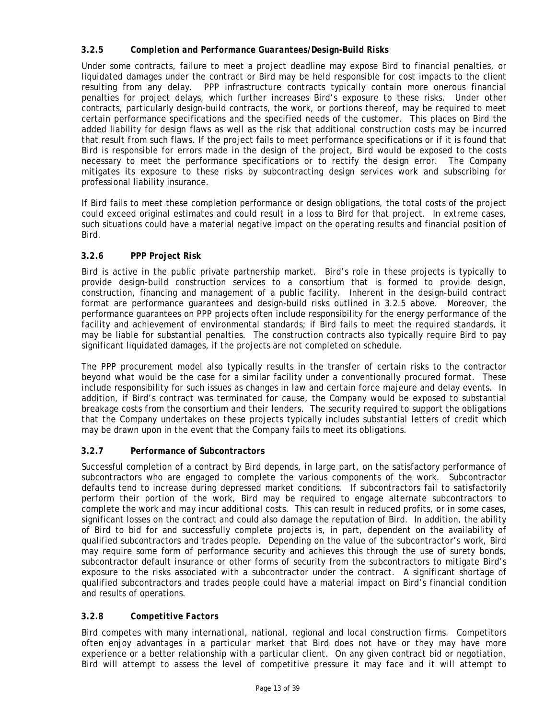## <span id="page-12-0"></span>**3.2.5** *Completion and Performance Guarantees/Design-Build Risks*

Under some contracts, failure to meet a project deadline may expose Bird to financial penalties, or liquidated damages under the contract or Bird may be held responsible for cost impacts to the client resulting from any delay. PPP infrastructure contracts typically contain more onerous financial penalties for project delays, which further increases Bird's exposure to these risks. Under other contracts, particularly design-build contracts, the work, or portions thereof, may be required to meet certain performance specifications and the specified needs of the customer. This places on Bird the added liability for design flaws as well as the risk that additional construction costs may be incurred that result from such flaws. If the project fails to meet performance specifications or if it is found that Bird is responsible for errors made in the design of the project, Bird would be exposed to the costs necessary to meet the performance specifications or to rectify the design error. The Company mitigates its exposure to these risks by subcontracting design services work and subscribing for professional liability insurance.

If Bird fails to meet these completion performance or design obligations, the total costs of the project could exceed original estimates and could result in a loss to Bird for that project. In extreme cases, such situations could have a material negative impact on the operating results and financial position of Bird.

## <span id="page-12-1"></span>**3.2.6** *PPP Project Risk*

Bird is active in the public private partnership market. Bird's role in these projects is typically to provide design-build construction services to a consortium that is formed to provide design, construction, financing and management of a public facility. Inherent in the design-build contract format are performance guarantees and design-build risks outlined in 3.2.5 above. Moreover, the performance guarantees on PPP projects often include responsibility for the energy performance of the facility and achievement of environmental standards; if Bird fails to meet the required standards, it may be liable for substantial penalties. The construction contracts also typically require Bird to pay significant liquidated damages, if the projects are not completed on schedule.

The PPP procurement model also typically results in the transfer of certain risks to the contractor beyond what would be the case for a similar facility under a conventionally procured format. These include responsibility for such issues as changes in law and certain force majeure and delay events. In addition, if Bird's contract was terminated for cause, the Company would be exposed to substantial breakage costs from the consortium and their lenders. The security required to support the obligations that the Company undertakes on these projects typically includes substantial letters of credit which may be drawn upon in the event that the Company fails to meet its obligations.

## <span id="page-12-2"></span>**3.2.7** *Performance of Subcontractors*

Successful completion of a contract by Bird depends, in large part, on the satisfactory performance of subcontractors who are engaged to complete the various components of the work. Subcontractor defaults tend to increase during depressed market conditions. If subcontractors fail to satisfactorily perform their portion of the work, Bird may be required to engage alternate subcontractors to complete the work and may incur additional costs. This can result in reduced profits, or in some cases, significant losses on the contract and could also damage the reputation of Bird. In addition, the ability of Bird to bid for and successfully complete projects is, in part, dependent on the availability of qualified subcontractors and trades people. Depending on the value of the subcontractor's work, Bird may require some form of performance security and achieves this through the use of surety bonds, subcontractor default insurance or other forms of security from the subcontractors to mitigate Bird's exposure to the risks associated with a subcontractor under the contract. A significant shortage of qualified subcontractors and trades people could have a material impact on Bird's financial condition and results of operations.

## <span id="page-12-3"></span>**3.2.8** *Competitive Factors*

Bird competes with many international, national, regional and local construction firms. Competitors often enjoy advantages in a particular market that Bird does not have or they may have more experience or a better relationship with a particular client. On any given contract bid or negotiation, Bird will attempt to assess the level of competitive pressure it may face and it will attempt to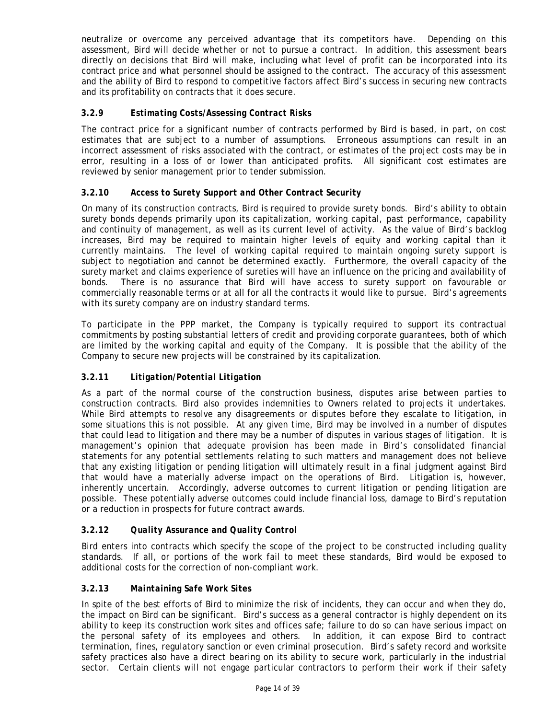neutralize or overcome any perceived advantage that its competitors have. Depending on this assessment, Bird will decide whether or not to pursue a contract. In addition, this assessment bears directly on decisions that Bird will make, including what level of profit can be incorporated into its contract price and what personnel should be assigned to the contract. The accuracy of this assessment and the ability of Bird to respond to competitive factors affect Bird's success in securing new contracts and its profitability on contracts that it does secure.

## <span id="page-13-0"></span>**3.2.9** *Estimating Costs/Assessing Contract Risks*

The contract price for a significant number of contracts performed by Bird is based, in part, on cost estimates that are subject to a number of assumptions. Erroneous assumptions can result in an incorrect assessment of risks associated with the contract, or estimates of the project costs may be in error, resulting in a loss of or lower than anticipated profits. All significant cost estimates are reviewed by senior management prior to tender submission.

## <span id="page-13-1"></span>**3.2.10** *Access to Surety Support and Other Contract Security*

On many of its construction contracts, Bird is required to provide surety bonds. Bird's ability to obtain surety bonds depends primarily upon its capitalization, working capital, past performance, capability and continuity of management, as well as its current level of activity. As the value of Bird's backlog increases, Bird may be required to maintain higher levels of equity and working capital than it currently maintains. The level of working capital required to maintain ongoing surety support is subject to negotiation and cannot be determined exactly. Furthermore, the overall capacity of the surety market and claims experience of sureties will have an influence on the pricing and availability of bonds. There is no assurance that Bird will have access to surety support on favourable or commercially reasonable terms or at all for all the contracts it would like to pursue. Bird's agreements with its surety company are on industry standard terms.

To participate in the PPP market, the Company is typically required to support its contractual commitments by posting substantial letters of credit and providing corporate guarantees, both of which are limited by the working capital and equity of the Company. It is possible that the ability of the Company to secure new projects will be constrained by its capitalization.

## <span id="page-13-2"></span>**3.2.11** *Litigation/Potential Litigation*

As a part of the normal course of the construction business, disputes arise between parties to construction contracts. Bird also provides indemnities to Owners related to projects it undertakes. While Bird attempts to resolve any disagreements or disputes before they escalate to litigation, in some situations this is not possible. At any given time, Bird may be involved in a number of disputes that could lead to litigation and there may be a number of disputes in various stages of litigation. It is management's opinion that adequate provision has been made in Bird's consolidated financial statements for any potential settlements relating to such matters and management does not believe that any existing litigation or pending litigation will ultimately result in a final judgment against Bird that would have a materially adverse impact on the operations of Bird. Litigation is, however, inherently uncertain. Accordingly, adverse outcomes to current litigation or pending litigation are possible. These potentially adverse outcomes could include financial loss, damage to Bird's reputation or a reduction in prospects for future contract awards.

## <span id="page-13-3"></span>**3.2.12** *Quality Assurance and Quality Control*

Bird enters into contracts which specify the scope of the project to be constructed including quality standards. If all, or portions of the work fail to meet these standards, Bird would be exposed to additional costs for the correction of non-compliant work.

## <span id="page-13-4"></span>**3.2.13** *Maintaining Safe Work Sites*

In spite of the best efforts of Bird to minimize the risk of incidents, they can occur and when they do, the impact on Bird can be significant. Bird's success as a general contractor is highly dependent on its ability to keep its construction work sites and offices safe; failure to do so can have serious impact on the personal safety of its employees and others. In addition, it can expose Bird to contract termination, fines, regulatory sanction or even criminal prosecution. Bird's safety record and worksite safety practices also have a direct bearing on its ability to secure work, particularly in the industrial sector. Certain clients will not engage particular contractors to perform their work if their safety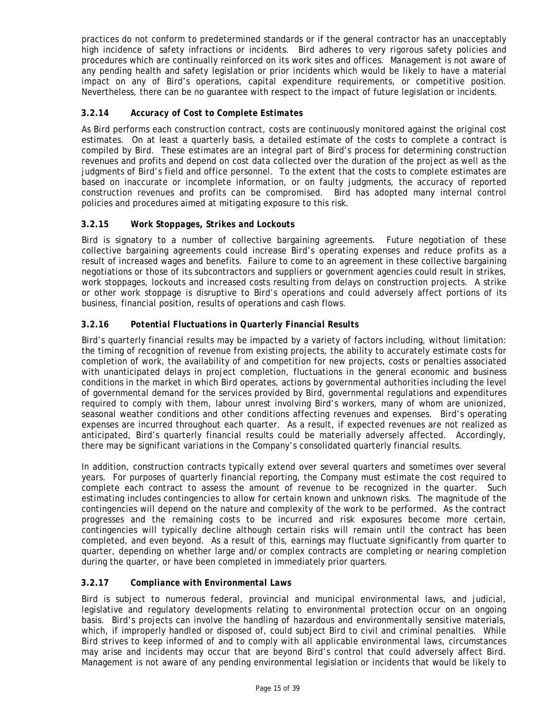practices do not conform to predetermined standards or if the general contractor has an unacceptably high incidence of safety infractions or incidents. Bird adheres to very rigorous safety policies and procedures which are continually reinforced on its work sites and offices. Management is not aware of any pending health and safety legislation or prior incidents which would be likely to have a material impact on any of Bird's operations, capital expenditure requirements, or competitive position. Nevertheless, there can be no guarantee with respect to the impact of future legislation or incidents.

## <span id="page-14-0"></span>**3.2.14** *Accuracy of Cost to Complete Estimates*

As Bird performs each construction contract, costs are continuously monitored against the original cost estimates. On at least a quarterly basis, a detailed estimate of the costs to complete a contract is compiled by Bird. These estimates are an integral part of Bird's process for determining construction revenues and profits and depend on cost data collected over the duration of the project as well as the judgments of Bird's field and office personnel. To the extent that the costs to complete estimates are based on inaccurate or incomplete information, or on faulty judgments, the accuracy of reported construction revenues and profits can be compromised. Bird has adopted many internal control policies and procedures aimed at mitigating exposure to this risk.

## <span id="page-14-1"></span>**3.2.15** *Work Stoppages, Strikes and Lockouts*

Bird is signatory to a number of collective bargaining agreements. Future negotiation of these collective bargaining agreements could increase Bird's operating expenses and reduce profits as a result of increased wages and benefits. Failure to come to an agreement in these collective bargaining negotiations or those of its subcontractors and suppliers or government agencies could result in strikes, work stoppages, lockouts and increased costs resulting from delays on construction projects. A strike or other work stoppage is disruptive to Bird's operations and could adversely affect portions of its business, financial position, results of operations and cash flows.

## <span id="page-14-2"></span>**3.2.16** *Potential Fluctuations in Quarterly Financial Results*

Bird's quarterly financial results may be impacted by a variety of factors including, without limitation: the timing of recognition of revenue from existing projects, the ability to accurately estimate costs for completion of work, the availability of and competition for new projects, costs or penalties associated with unanticipated delays in project completion, fluctuations in the general economic and business conditions in the market in which Bird operates, actions by governmental authorities including the level of governmental demand for the services provided by Bird, governmental regulations and expenditures required to comply with them, labour unrest involving Bird's workers, many of whom are unionized, seasonal weather conditions and other conditions affecting revenues and expenses. Bird's operating expenses are incurred throughout each quarter. As a result, if expected revenues are not realized as anticipated, Bird's quarterly financial results could be materially adversely affected. Accordingly, there may be significant variations in the Company's consolidated quarterly financial results.

In addition, construction contracts typically extend over several quarters and sometimes over several years. For purposes of quarterly financial reporting, the Company must estimate the cost required to complete each contract to assess the amount of revenue to be recognized in the quarter. Such estimating includes contingencies to allow for certain known and unknown risks. The magnitude of the contingencies will depend on the nature and complexity of the work to be performed. As the contract progresses and the remaining costs to be incurred and risk exposures become more certain, contingencies will typically decline although certain risks will remain until the contract has been completed, and even beyond. As a result of this, earnings may fluctuate significantly from quarter to quarter, depending on whether large and/or complex contracts are completing or nearing completion during the quarter, or have been completed in immediately prior quarters.

## <span id="page-14-3"></span>**3.2.17** *Compliance with Environmental Laws*

Bird is subject to numerous federal, provincial and municipal environmental laws, and judicial, legislative and regulatory developments relating to environmental protection occur on an ongoing basis. Bird's projects can involve the handling of hazardous and environmentally sensitive materials, which, if improperly handled or disposed of, could subject Bird to civil and criminal penalties. While Bird strives to keep informed of and to comply with all applicable environmental laws, circumstances may arise and incidents may occur that are beyond Bird's control that could adversely affect Bird. Management is not aware of any pending environmental legislation or incidents that would be likely to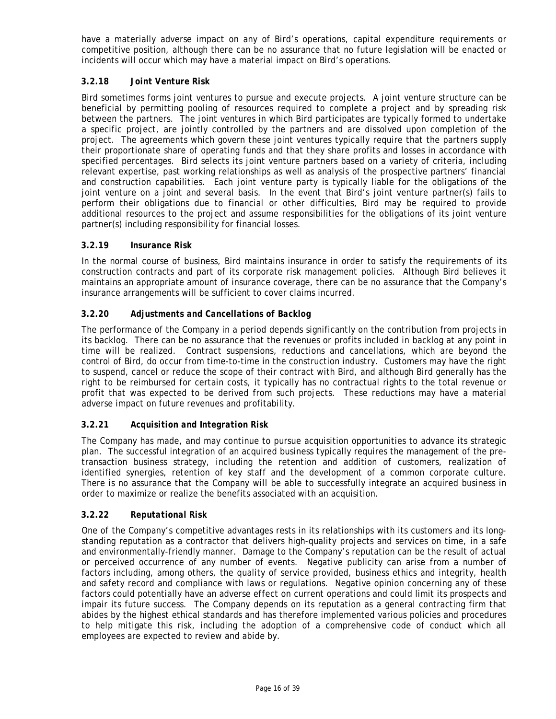have a materially adverse impact on any of Bird's operations, capital expenditure requirements or competitive position, although there can be no assurance that no future legislation will be enacted or incidents will occur which may have a material impact on Bird's operations.

## <span id="page-15-0"></span>**3.2.18** *Joint Venture Risk*

Bird sometimes forms joint ventures to pursue and execute projects. A joint venture structure can be beneficial by permitting pooling of resources required to complete a project and by spreading risk between the partners. The joint ventures in which Bird participates are typically formed to undertake a specific project, are jointly controlled by the partners and are dissolved upon completion of the project. The agreements which govern these joint ventures typically require that the partners supply their proportionate share of operating funds and that they share profits and losses in accordance with specified percentages. Bird selects its joint venture partners based on a variety of criteria, including relevant expertise, past working relationships as well as analysis of the prospective partners' financial and construction capabilities. Each joint venture party is typically liable for the obligations of the joint venture on a joint and several basis. In the event that Bird's joint venture partner(s) fails to perform their obligations due to financial or other difficulties, Bird may be required to provide additional resources to the project and assume responsibilities for the obligations of its joint venture partner(s) including responsibility for financial losses.

## <span id="page-15-1"></span>**3.2.19** *Insurance Risk*

In the normal course of business, Bird maintains insurance in order to satisfy the requirements of its construction contracts and part of its corporate risk management policies. Although Bird believes it maintains an appropriate amount of insurance coverage, there can be no assurance that the Company's insurance arrangements will be sufficient to cover claims incurred.

## <span id="page-15-2"></span>**3.2.20** *Adjustments and Cancellations of Backlog*

The performance of the Company in a period depends significantly on the contribution from projects in its backlog. There can be no assurance that the revenues or profits included in backlog at any point in time will be realized. Contract suspensions, reductions and cancellations, which are beyond the control of Bird, do occur from time-to-time in the construction industry. Customers may have the right to suspend, cancel or reduce the scope of their contract with Bird, and although Bird generally has the right to be reimbursed for certain costs, it typically has no contractual rights to the total revenue or profit that was expected to be derived from such projects. These reductions may have a material adverse impact on future revenues and profitability.

## <span id="page-15-3"></span>**3.2.21** *Acquisition and Integration Risk*

The Company has made, and may continue to pursue acquisition opportunities to advance its strategic plan. The successful integration of an acquired business typically requires the management of the pretransaction business strategy, including the retention and addition of customers, realization of identified synergies, retention of key staff and the development of a common corporate culture. There is no assurance that the Company will be able to successfully integrate an acquired business in order to maximize or realize the benefits associated with an acquisition.

## <span id="page-15-4"></span>**3.2.22** *Reputational Risk*

One of the Company's competitive advantages rests in its relationships with its customers and its longstanding reputation as a contractor that delivers high-quality projects and services on time, in a safe and environmentally-friendly manner. Damage to the Company's reputation can be the result of actual or perceived occurrence of any number of events. Negative publicity can arise from a number of factors including, among others, the quality of service provided, business ethics and integrity, health and safety record and compliance with laws or regulations. Negative opinion concerning any of these factors could potentially have an adverse effect on current operations and could limit its prospects and impair its future success. The Company depends on its reputation as a general contracting firm that abides by the highest ethical standards and has therefore implemented various policies and procedures to help mitigate this risk, including the adoption of a comprehensive code of conduct which all employees are expected to review and abide by.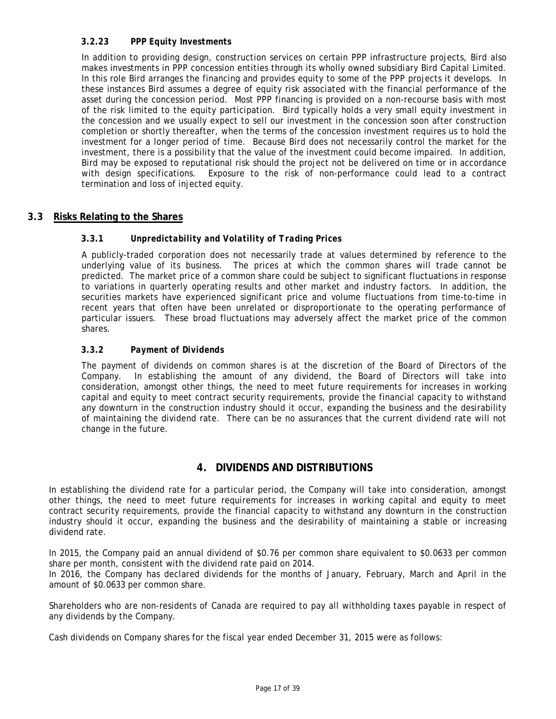## <span id="page-16-0"></span>**3.2.23** *PPP Equity Investments*

In addition to providing design, construction services on certain PPP infrastructure projects, Bird also makes investments in PPP concession entities through its wholly owned subsidiary Bird Capital Limited. In this role Bird arranges the financing and provides equity to some of the PPP projects it develops. In these instances Bird assumes a degree of equity risk associated with the financial performance of the asset during the concession period. Most PPP financing is provided on a non-recourse basis with most of the risk limited to the equity participation. Bird typically holds a very small equity investment in the concession and we usually expect to sell our investment in the concession soon after construction completion or shortly thereafter, when the terms of the concession investment requires us to hold the investment for a longer period of time. Because Bird does not necessarily control the market for the investment, there is a possibility that the value of the investment could become impaired. In addition, Bird may be exposed to reputational risk should the project not be delivered on time or in accordance with design specifications. Exposure to the risk of non-performance could lead to a contract termination and loss of injected equity.

## <span id="page-16-2"></span><span id="page-16-1"></span>**3.3 Risks Relating to the Shares**

## **3.3.1** *Unpredictability and Volatility of Trading Prices*

A publicly-traded corporation does not necessarily trade at values determined by reference to the underlying value of its business. The prices at which the common shares will trade cannot be predicted. The market price of a common share could be subject to significant fluctuations in response to variations in quarterly operating results and other market and industry factors. In addition, the securities markets have experienced significant price and volume fluctuations from time-to-time in recent years that often have been unrelated or disproportionate to the operating performance of particular issuers. These broad fluctuations may adversely affect the market price of the common shares.

## <span id="page-16-3"></span>**3.3.2** *Payment of Dividends*

The payment of dividends on common shares is at the discretion of the Board of Directors of the Company. In establishing the amount of any dividend, the Board of Directors will take into consideration, amongst other things, the need to meet future requirements for increases in working capital and equity to meet contract security requirements, provide the financial capacity to withstand any downturn in the construction industry should it occur, expanding the business and the desirability of maintaining the dividend rate. There can be no assurances that the current dividend rate will not change in the future.

## **4. DIVIDENDS AND DISTRIBUTIONS**

<span id="page-16-4"></span>In establishing the dividend rate for a particular period, the Company will take into consideration, amongst other things, the need to meet future requirements for increases in working capital and equity to meet contract security requirements, provide the financial capacity to withstand any downturn in the construction industry should it occur, expanding the business and the desirability of maintaining a stable or increasing dividend rate.

In 2015, the Company paid an annual dividend of \$0.76 per common share equivalent to \$0.0633 per common share per month, consistent with the dividend rate paid on 2014.

In 2016, the Company has declared dividends for the months of January, February, March and April in the amount of \$0.0633 per common share.

Shareholders who are non-residents of Canada are required to pay all withholding taxes payable in respect of any dividends by the Company.

Cash dividends on Company shares for the fiscal year ended December 31, 2015 were as follows: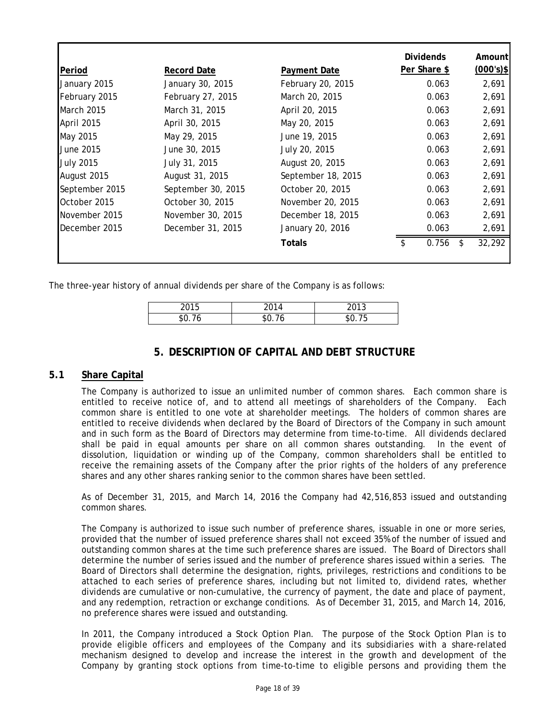|                   |                    |                    | <b>Dividends</b> | Amountl      |
|-------------------|--------------------|--------------------|------------------|--------------|
| Period            | <b>Record Date</b> | Payment Date       | Per Share \$     | $(000's)$ \$ |
| January 2015      | January 30, 2015   | February 20, 2015  | 0.063            | 2,691        |
| February 2015     | February 27, 2015  | March 20, 2015     | 0.063            | 2,691        |
| <b>March 2015</b> | March 31, 2015     | April 20, 2015     | 0.063            | 2,691        |
| April 2015        | April 30, 2015     | May 20, 2015       | 0.063            | 2,691        |
| May 2015          | May 29, 2015       | June 19, 2015      | 0.063            | 2,691        |
| June 2015         | June 30, 2015      | July 20, 2015      | 0.063            | 2,691        |
| <b>July 2015</b>  | July 31, 2015      | August 20, 2015    | 0.063            | 2,691        |
| August 2015       | August 31, 2015    | September 18, 2015 | 0.063            | 2,691        |
| September 2015    | September 30, 2015 | October 20, 2015   | 0.063            | 2,691        |
| October 2015      | October 30, 2015   | November 20, 2015  | 0.063            | 2,691        |
| November 2015     | November 30, 2015  | December 18, 2015  | 0.063            | 2,691        |
| December 2015     | December 31, 2015  | January 20, 2016   | 0.063            | 2,691        |
|                   |                    | Totals             | 0.756<br>\$.     | 32,292       |
|                   |                    |                    |                  |              |

<span id="page-17-0"></span>The three-year history of annual dividends per share of the Company is as follows:

| 2 U I J | 0.04 | $\sim$ $\sim$<br>ں ا<br>ັ |
|---------|------|---------------------------|
| \$Ο     |      | ັ                         |

## **5. DESCRIPTION OF CAPITAL AND DEBT STRUCTURE**

## <span id="page-17-1"></span>**5.1 Share Capital**

The Company is authorized to issue an unlimited number of common shares. Each common share is entitled to receive notice of, and to attend all meetings of shareholders of the Company. Each common share is entitled to one vote at shareholder meetings. The holders of common shares are entitled to receive dividends when declared by the Board of Directors of the Company in such amount and in such form as the Board of Directors may determine from time-to-time. All dividends declared shall be paid in equal amounts per share on all common shares outstanding. In the event of dissolution, liquidation or winding up of the Company, common shareholders shall be entitled to receive the remaining assets of the Company after the prior rights of the holders of any preference shares and any other shares ranking senior to the common shares have been settled.

As of December 31, 2015, and March 14, 2016 the Company had 42,516,853 issued and outstanding common shares.

The Company is authorized to issue such number of preference shares, issuable in one or more series, provided that the number of issued preference shares shall not exceed 35% of the number of issued and outstanding common shares at the time such preference shares are issued. The Board of Directors shall determine the number of series issued and the number of preference shares issued within a series. The Board of Directors shall determine the designation, rights, privileges, restrictions and conditions to be attached to each series of preference shares, including but not limited to, dividend rates, whether dividends are cumulative or non-cumulative, the currency of payment, the date and place of payment, and any redemption, retraction or exchange conditions. As of December 31, 2015, and March 14, 2016, no preference shares were issued and outstanding.

In 2011, the Company introduced a Stock Option Plan. The purpose of the Stock Option Plan is to provide eligible officers and employees of the Company and its subsidiaries with a share-related mechanism designed to develop and increase the interest in the growth and development of the Company by granting stock options from time-to-time to eligible persons and providing them the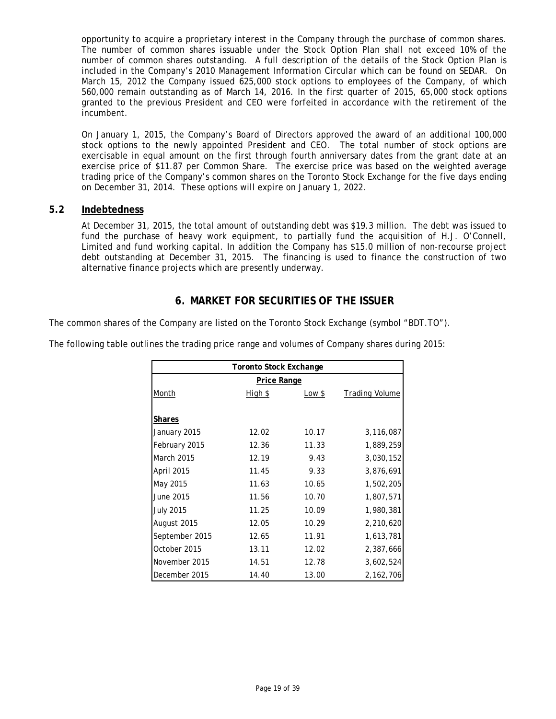opportunity to acquire a proprietary interest in the Company through the purchase of common shares. The number of common shares issuable under the Stock Option Plan shall not exceed 10% of the number of common shares outstanding. A full description of the details of the Stock Option Plan is included in the Company's 2010 Management Information Circular which can be found on SEDAR. On March 15, 2012 the Company issued 625,000 stock options to employees of the Company, of which 560,000 remain outstanding as of March 14, 2016. In the first quarter of 2015, 65,000 stock options granted to the previous President and CEO were forfeited in accordance with the retirement of the incumbent.

On January 1, 2015, the Company's Board of Directors approved the award of an additional 100,000 stock options to the newly appointed President and CEO. The total number of stock options are exercisable in equal amount on the first through fourth anniversary dates from the grant date at an exercise price of \$11.87 per Common Share. The exercise price was based on the weighted average trading price of the Company's common shares on the Toronto Stock Exchange for the five days ending on December 31, 2014. These options will expire on January 1, 2022.

## <span id="page-18-0"></span>**5.2 Indebtedness**

At December 31, 2015, the total amount of outstanding debt was \$19.3 million. The debt was issued to fund the purchase of heavy work equipment, to partially fund the acquisition of H.J. O'Connell, Limited and fund working capital. In addition the Company has \$15.0 million of non-recourse project debt outstanding at December 31, 2015. The financing is used to finance the construction of two alternative finance projects which are presently underway.

## **6. MARKET FOR SECURITIES OF THE ISSUER**

<span id="page-18-1"></span>The common shares of the Company are listed on the Toronto Stock Exchange (symbol "BDT.TO").

| <b>Toronto Stock Exchange</b> |         |        |                       |  |  |
|-------------------------------|---------|--------|-----------------------|--|--|
| <b>Price Range</b>            |         |        |                       |  |  |
| Month                         | High \$ | Low \$ | <b>Trading Volume</b> |  |  |
| <b>Shares</b>                 |         |        |                       |  |  |
| January 2015                  | 12.02   | 10.17  | 3,116,087             |  |  |
| February 2015                 | 12.36   | 11.33  | 1,889,259             |  |  |
| <b>March 2015</b>             | 12.19   | 9.43   | 3,030,152             |  |  |
| April 2015                    | 11.45   | 9.33   | 3,876,691             |  |  |
| May 2015                      | 11.63   | 10.65  | 1,502,205             |  |  |
| June 2015                     | 11.56   | 10.70  | 1,807,571             |  |  |
| <b>July 2015</b>              | 11.25   | 10.09  | 1,980,381             |  |  |
| August 2015                   | 12.05   | 10.29  | 2,210,620             |  |  |
| September 2015                | 12.65   | 11.91  | 1,613,781             |  |  |
| October 2015                  | 13.11   | 12.02  | 2,387,666             |  |  |
| November 2015                 | 14.51   | 12.78  | 3,602,524             |  |  |
| December 2015                 | 14.40   | 13.00  | 2,162,706             |  |  |

The following table outlines the trading price range and volumes of Company shares during 2015: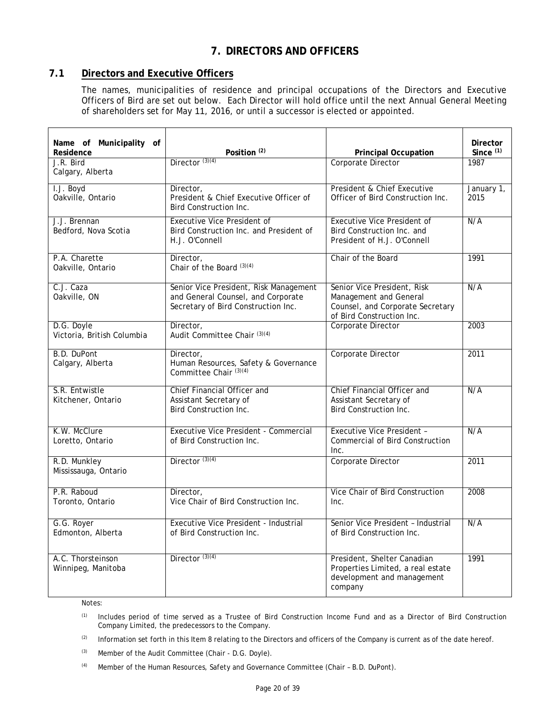## **7. DIRECTORS AND OFFICERS**

## <span id="page-19-1"></span><span id="page-19-0"></span>**7.1 Directors and Executive Officers**

The names, municipalities of residence and principal occupations of the Directors and Executive Officers of Bird are set out below. Each Director will hold office until the next Annual General Meeting of shareholders set for May 11, 2016, or until a successor is elected or appointed.

| Name of Municipality of<br>Residence     | Position <sup>(2)</sup>                                                                                             | <b>Principal Occupation</b>                                                                                            | Director<br>Since $(1)$ |
|------------------------------------------|---------------------------------------------------------------------------------------------------------------------|------------------------------------------------------------------------------------------------------------------------|-------------------------|
| J.R. Bird<br>Calgary, Alberta            | Director $(3)(4)$                                                                                                   | Corporate Director                                                                                                     | 1987                    |
| I.J. Boyd<br>Oakville, Ontario           | Director,<br>President & Chief Executive Officer of<br><b>Bird Construction Inc.</b>                                | President & Chief Executive<br>Officer of Bird Construction Inc.                                                       | January 1,<br>2015      |
| J.J. Brennan<br>Bedford, Nova Scotia     | <b>Executive Vice President of</b><br>Bird Construction Inc. and President of<br>H.J. O'Connell                     | <b>Executive Vice President of</b><br>Bird Construction Inc. and<br>President of H.J. O'Connell                        | N/A                     |
| P.A. Charette<br>Oakville, Ontario       | Director,<br>Chair of the Board (3)(4)                                                                              | Chair of the Board                                                                                                     | 1991                    |
| C.J. Caza<br>Oakville, ON                | Senior Vice President, Risk Management<br>and General Counsel, and Corporate<br>Secretary of Bird Construction Inc. | Senior Vice President, Risk<br>Management and General<br>Counsel, and Corporate Secretary<br>of Bird Construction Inc. | N/A                     |
| D.G. Doyle<br>Victoria, British Columbia | Director.<br>Audit Committee Chair (3)(4)                                                                           | Corporate Director                                                                                                     | 2003                    |
| B.D. DuPont<br>Calgary, Alberta          | Director,<br>Human Resources, Safety & Governance<br>Committee Chair (3)(4)                                         | Corporate Director                                                                                                     | 2011                    |
| S.R. Entwistle<br>Kitchener, Ontario     | Chief Financial Officer and<br>Assistant Secretary of<br>Bird Construction Inc.                                     | Chief Financial Officer and<br>Assistant Secretary of<br><b>Bird Construction Inc.</b>                                 | N/A                     |
| K.W. McClure<br>Loretto, Ontario         | <b>Executive Vice President - Commercial</b><br>of Bird Construction Inc.                                           | <b>Executive Vice President -</b><br><b>Commercial of Bird Construction</b><br>Inc.                                    | N/A                     |
| R.D. Munkley<br>Mississauga, Ontario     | Director $(3)(4)$                                                                                                   | Corporate Director                                                                                                     | 2011                    |
| P.R. Raboud<br>Toronto, Ontario          | Director,<br>Vice Chair of Bird Construction Inc.                                                                   | Vice Chair of Bird Construction<br>Inc.                                                                                | 2008                    |
| G.G. Royer<br>Edmonton, Alberta          | Executive Vice President - Industrial<br>of Bird Construction Inc.                                                  | Senior Vice President - Industrial<br>of Bird Construction Inc.                                                        | N/A                     |
| A.C. Thorsteinson<br>Winnipeg, Manitoba  | Director $(3)(4)$                                                                                                   | President, Shelter Canadian<br>Properties Limited, a real estate<br>development and management<br>company              | 1991                    |

Notes:

- (1) Includes period of time served as a Trustee of Bird Construction Income Fund and as a Director of Bird Construction Company Limited, the predecessors to the Company.
- (2) Information set forth in this Item 8 relating to the Directors and officers of the Company is current as of the date hereof.
- (3) Member of the Audit Committee (Chair D.G. Doyle).
- (4) Member of the Human Resources, Safety and Governance Committee (Chair B.D. DuPont).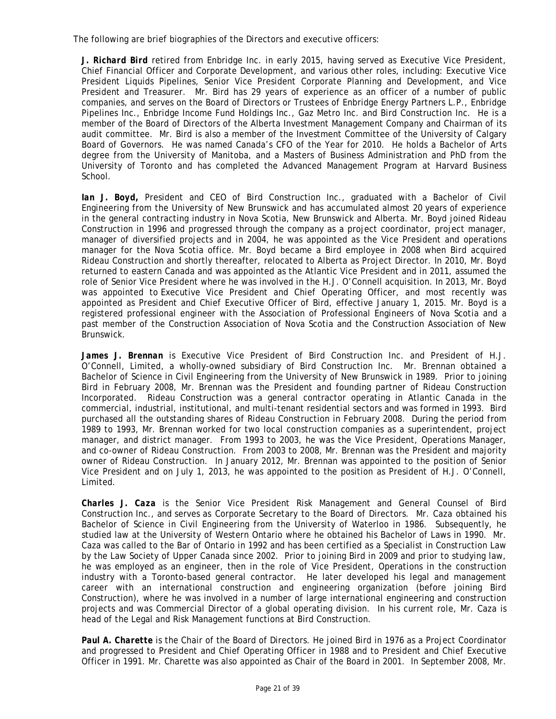The following are brief biographies of the Directors and executive officers:

*J. Richard Bird* retired from Enbridge Inc. in early 2015, having served as Executive Vice President, Chief Financial Officer and Corporate Development, and various other roles, including: Executive Vice President Liquids Pipelines, Senior Vice President Corporate Planning and Development, and Vice President and Treasurer. Mr. Bird has 29 years of experience as an officer of a number of public companies, and serves on the Board of Directors or Trustees of Enbridge Energy Partners L.P., Enbridge Pipelines Inc., Enbridge Income Fund Holdings Inc., Gaz Metro Inc. and Bird Construction Inc. He is a member of the Board of Directors of the Alberta Investment Management Company and Chairman of its audit committee. Mr. Bird is also a member of the Investment Committee of the University of Calgary Board of Governors. He was named Canada's CFO of the Year for 2010. He holds a Bachelor of Arts degree from the University of Manitoba, and a Masters of Business Administration and PhD from the University of Toronto and has completed the Advanced Management Program at Harvard Business School.

*Ian J. Boyd,* President and CEO of Bird Construction Inc., graduated with a Bachelor of Civil Engineering from the University of New Brunswick and has accumulated almost 20 years of experience in the general contracting industry in Nova Scotia, New Brunswick and Alberta. Mr. Boyd joined Rideau Construction in 1996 and progressed through the company as a project coordinator, project manager, manager of diversified projects and in 2004, he was appointed as the Vice President and operations manager for the Nova Scotia office. Mr. Boyd became a Bird employee in 2008 when Bird acquired Rideau Construction and shortly thereafter, relocated to Alberta as Project Director. In 2010, Mr. Boyd returned to eastern Canada and was appointed as the Atlantic Vice President and in 2011, assumed the role of Senior Vice President where he was involved in the H.J. O'Connell acquisition. In 2013, Mr. Boyd was appointed to Executive Vice President and Chief Operating Officer, and most recently was appointed as President and Chief Executive Officer of Bird, effective January 1, 2015. Mr. Boyd is a registered professional engineer with the Association of Professional Engineers of Nova Scotia and a past member of the Construction Association of Nova Scotia and the Construction Association of New Brunswick.

*James J. Brennan* is Executive Vice President of Bird Construction Inc. and President of H.J. O'Connell, Limited, a wholly-owned subsidiary of Bird Construction Inc. Mr. Brennan obtained a Bachelor of Science in Civil Engineering from the University of New Brunswick in 1989. Prior to joining Bird in February 2008, Mr. Brennan was the President and founding partner of Rideau Construction Incorporated. Rideau Construction was a general contractor operating in Atlantic Canada in the commercial, industrial, institutional, and multi-tenant residential sectors and was formed in 1993. Bird purchased all the outstanding shares of Rideau Construction in February 2008. During the period from 1989 to 1993, Mr. Brennan worked for two local construction companies as a superintendent, project manager, and district manager. From 1993 to 2003, he was the Vice President, Operations Manager, and co-owner of Rideau Construction. From 2003 to 2008, Mr. Brennan was the President and majority owner of Rideau Construction. In January 2012, Mr. Brennan was appointed to the position of Senior Vice President and on July 1, 2013, he was appointed to the position as President of H.J. O'Connell, Limited.

*Charles J. Caza* is the Senior Vice President Risk Management and General Counsel of Bird Construction Inc., and serves as Corporate Secretary to the Board of Directors. Mr. Caza obtained his Bachelor of Science in Civil Engineering from the University of Waterloo in 1986. Subsequently, he studied law at the University of Western Ontario where he obtained his Bachelor of Laws in 1990. Mr. Caza was called to the Bar of Ontario in 1992 and has been certified as a Specialist in Construction Law by the Law Society of Upper Canada since 2002. Prior to joining Bird in 2009 and prior to studying law, he was employed as an engineer, then in the role of Vice President, Operations in the construction industry with a Toronto-based general contractor. He later developed his legal and management career with an international construction and engineering organization (before joining Bird Construction), where he was involved in a number of large international engineering and construction projects and was Commercial Director of a global operating division. In his current role, Mr. Caza is head of the Legal and Risk Management functions at Bird Construction.

*Paul A. Charette* is the Chair of the Board of Directors. He joined Bird in 1976 as a Project Coordinator and progressed to President and Chief Operating Officer in 1988 and to President and Chief Executive Officer in 1991. Mr. Charette was also appointed as Chair of the Board in 2001. In September 2008, Mr.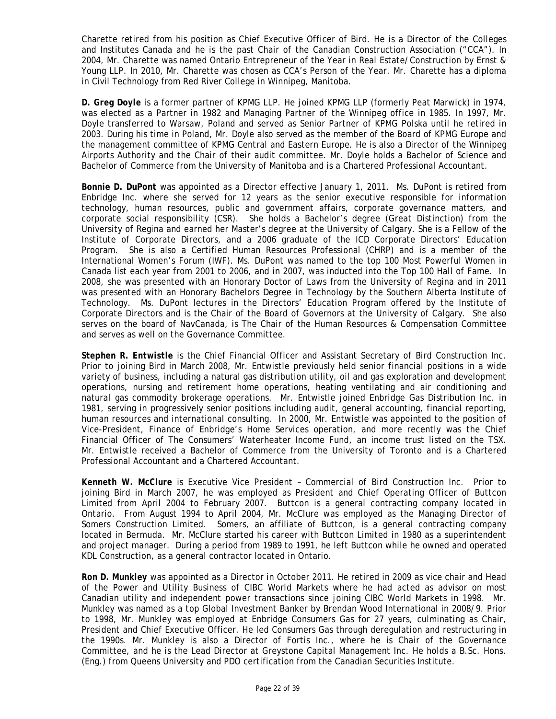Charette retired from his position as Chief Executive Officer of Bird. He is a Director of the Colleges and Institutes Canada and he is the past Chair of the Canadian Construction Association ("CCA"). In 2004, Mr. Charette was named Ontario Entrepreneur of the Year in Real Estate/Construction by Ernst & Young LLP. In 2010, Mr. Charette was chosen as CCA's Person of the Year. Mr. Charette has a diploma in Civil Technology from Red River College in Winnipeg, Manitoba.

*D. Greg Doyle* is a former partner of KPMG LLP. He joined KPMG LLP (formerly Peat Marwick) in 1974, was elected as a Partner in 1982 and Managing Partner of the Winnipeg office in 1985. In 1997, Mr. Doyle transferred to Warsaw, Poland and served as Senior Partner of KPMG Polska until he retired in 2003. During his time in Poland, Mr. Doyle also served as the member of the Board of KPMG Europe and the management committee of KPMG Central and Eastern Europe. He is also a Director of the Winnipeg Airports Authority and the Chair of their audit committee. Mr. Doyle holds a Bachelor of Science and Bachelor of Commerce from the University of Manitoba and is a Chartered Professional Accountant.

*Bonnie D. DuPont* was appointed as a Director effective January 1, 2011. Ms. DuPont is retired from Enbridge Inc. where she served for 12 years as the senior executive responsible for information technology, human resources, public and government affairs, corporate governance matters, and corporate social responsibility (CSR). She holds a Bachelor's degree (Great Distinction) from the University of Regina and earned her Master's degree at the University of Calgary. She is a Fellow of the Institute of Corporate Directors, and a 2006 graduate of the ICD Corporate Directors' Education Program. She is also a Certified Human Resources Professional (CHRP) and is a member of the International Women's Forum (IWF). Ms. DuPont was named to the top 100 Most Powerful Women in Canada list each year from 2001 to 2006, and in 2007, was inducted into the Top 100 Hall of Fame. In 2008, she was presented with an Honorary Doctor of Laws from the University of Regina and in 2011 was presented with an Honorary Bachelors Degree in Technology by the Southern Alberta Institute of Technology. Ms. DuPont lectures in the Directors' Education Program offered by the Institute of Corporate Directors and is the Chair of the Board of Governors at the University of Calgary. She also serves on the board of NavCanada, is The Chair of the Human Resources & Compensation Committee and serves as well on the Governance Committee.

*Stephen R. Entwistle* is the Chief Financial Officer and Assistant Secretary of Bird Construction Inc. Prior to joining Bird in March 2008, Mr. Entwistle previously held senior financial positions in a wide variety of business, including a natural gas distribution utility, oil and gas exploration and development operations, nursing and retirement home operations, heating ventilating and air conditioning and natural gas commodity brokerage operations. Mr. Entwistle joined Enbridge Gas Distribution Inc. in 1981, serving in progressively senior positions including audit, general accounting, financial reporting, human resources and international consulting. In 2000, Mr. Entwistle was appointed to the position of Vice-President, Finance of Enbridge's Home Services operation, and more recently was the Chief Financial Officer of The Consumers' Waterheater Income Fund, an income trust listed on the TSX. Mr. Entwistle received a Bachelor of Commerce from the University of Toronto and is a Chartered Professional Accountant and a Chartered Accountant.

*Kenneth W. McClure* is Executive Vice President – Commercial of Bird Construction Inc. Prior to joining Bird in March 2007, he was employed as President and Chief Operating Officer of Buttcon Limited from April 2004 to February 2007. Buttcon is a general contracting company located in Ontario. From August 1994 to April 2004, Mr. McClure was employed as the Managing Director of Somers Construction Limited. Somers, an affiliate of Buttcon, is a general contracting company located in Bermuda. Mr. McClure started his career with Buttcon Limited in 1980 as a superintendent and project manager. During a period from 1989 to 1991, he left Buttcon while he owned and operated KDL Construction, as a general contractor located in Ontario.

*Ron D. Munkley* was appointed as a Director in October 2011. He retired in 2009 as vice chair and Head of the Power and Utility Business of CIBC World Markets where he had acted as advisor on most Canadian utility and independent power transactions since joining CIBC World Markets in 1998. Mr. Munkley was named as a top Global Investment Banker by Brendan Wood International in 2008/9. Prior to 1998, Mr. Munkley was employed at Enbridge Consumers Gas for 27 years, culminating as Chair, President and Chief Executive Officer. He led Consumers Gas through deregulation and restructuring in the 1990s. Mr. Munkley is also a Director of Fortis Inc., where he is Chair of the Governance Committee, and he is the Lead Director at Greystone Capital Management Inc. He holds a B.Sc. Hons. (Eng.) from Queens University and PDO certification from the Canadian Securities Institute.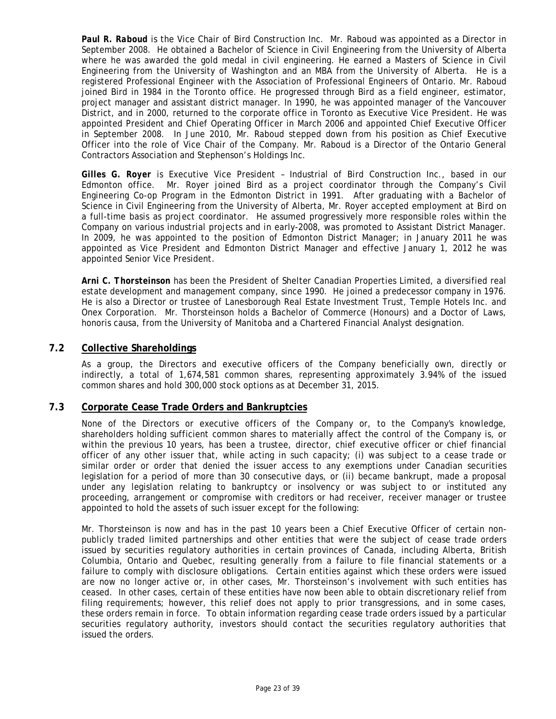*Paul R. Raboud* is the Vice Chair of Bird Construction Inc. Mr. Raboud was appointed as a Director in September 2008. He obtained a Bachelor of Science in Civil Engineering from the University of Alberta where he was awarded the gold medal in civil engineering. He earned a Masters of Science in Civil Engineering from the University of Washington and an MBA from the University of Alberta. He is a registered Professional Engineer with the Association of Professional Engineers of Ontario. Mr. Raboud joined Bird in 1984 in the Toronto office. He progressed through Bird as a field engineer, estimator, project manager and assistant district manager. In 1990, he was appointed manager of the Vancouver District, and in 2000, returned to the corporate office in Toronto as Executive Vice President. He was appointed President and Chief Operating Officer in March 2006 and appointed Chief Executive Officer in September 2008. In June 2010, Mr. Raboud stepped down from his position as Chief Executive Officer into the role of Vice Chair of the Company. Mr. Raboud is a Director of the Ontario General Contractors Association and Stephenson's Holdings Inc.

*Gilles G. Royer* is Executive Vice President – Industrial of Bird Construction Inc., based in our Edmonton office. Mr. Royer joined Bird as a project coordinator through the Company's Civil Engineering Co-op Program in the Edmonton District in 1991. After graduating with a Bachelor of Science in Civil Engineering from the University of Alberta, Mr. Royer accepted employment at Bird on a full-time basis as project coordinator. He assumed progressively more responsible roles within the Company on various industrial projects and in early-2008, was promoted to Assistant District Manager. In 2009, he was appointed to the position of Edmonton District Manager; in January 2011 he was appointed as Vice President and Edmonton District Manager and effective January 1, 2012 he was appointed Senior Vice President.

*Arni C. Thorsteinson* has been the President of Shelter Canadian Properties Limited, a diversified real estate development and management company, since 1990. He joined a predecessor company in 1976. He is also a Director or trustee of Lanesborough Real Estate Investment Trust, Temple Hotels Inc. and Onex Corporation. Mr. Thorsteinson holds a Bachelor of Commerce (Honours) and a Doctor of Laws, honoris causa, from the University of Manitoba and a Chartered Financial Analyst designation.

## <span id="page-22-0"></span>**7.2 Collective Shareholdings**

As a group, the Directors and executive officers of the Company beneficially own, directly or indirectly, a total of 1,674,581 common shares, representing approximately 3.94% of the issued common shares and hold 300,000 stock options as at December 31, 2015.

## <span id="page-22-1"></span>**7.3 Corporate Cease Trade Orders and Bankruptcies**

None of the Directors or executive officers of the Company or, to the Company's knowledge, shareholders holding sufficient common shares to materially affect the control of the Company is, or within the previous 10 years, has been a trustee, director, chief executive officer or chief financial officer of any other issuer that, while acting in such capacity; (i) was subject to a cease trade or similar order or order that denied the issuer access to any exemptions under Canadian securities legislation for a period of more than 30 consecutive days, or (ii) became bankrupt, made a proposal under any legislation relating to bankruptcy or insolvency or was subject to or instituted any proceeding, arrangement or compromise with creditors or had receiver, receiver manager or trustee appointed to hold the assets of such issuer except for the following:

Mr. Thorsteinson is now and has in the past 10 years been a Chief Executive Officer of certain nonpublicly traded limited partnerships and other entities that were the subject of cease trade orders issued by securities regulatory authorities in certain provinces of Canada, including Alberta, British Columbia, Ontario and Quebec, resulting generally from a failure to file financial statements or a failure to comply with disclosure obligations. Certain entities against which these orders were issued are now no longer active or, in other cases, Mr. Thorsteinson's involvement with such entities has ceased. In other cases, certain of these entities have now been able to obtain discretionary relief from filing requirements; however, this relief does not apply to prior transgressions, and in some cases, these orders remain in force. To obtain information regarding cease trade orders issued by a particular securities regulatory authority, investors should contact the securities regulatory authorities that issued the orders.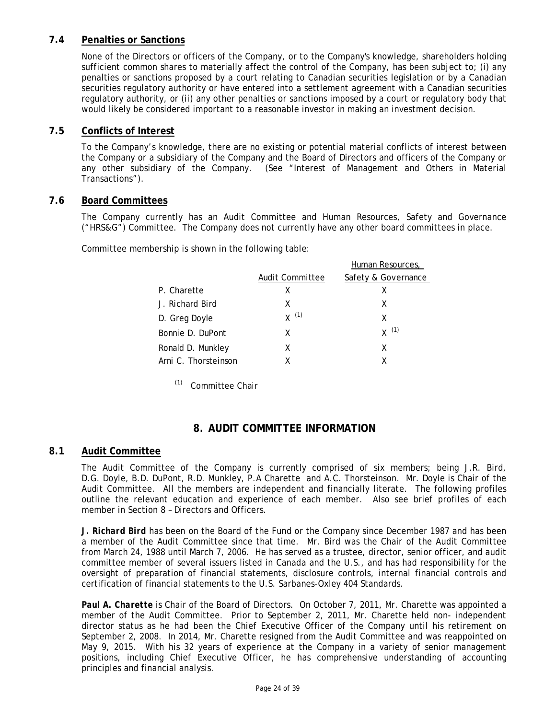## <span id="page-23-0"></span>**7.4 Penalties or Sanctions**

None of the Directors or officers of the Company, or to the Company's knowledge, shareholders holding sufficient common shares to materially affect the control of the Company, has been subject to; (i) any penalties or sanctions proposed by a court relating to Canadian securities legislation or by a Canadian securities regulatory authority or have entered into a settlement agreement with a Canadian securities regulatory authority, or (ii) any other penalties or sanctions imposed by a court or regulatory body that would likely be considered important to a reasonable investor in making an investment decision.

## <span id="page-23-1"></span>**7.5 Conflicts of Interest**

To the Company's knowledge, there are no existing or potential material conflicts of interest between the Company or a subsidiary of the Company and the Board of Directors and officers of the Company or any other subsidiary of the Company. (See "Interest of Management and Others in Material Transactions").

## <span id="page-23-2"></span>**7.6 Board Committees**

The Company currently has an Audit Committee and Human Resources, Safety and Governance ("HRS&G") Committee. The Company does not currently have any other board committees in place.

Committee membership is shown in the following table:

|                      |                 | Human Resources,    |
|----------------------|-----------------|---------------------|
|                      | Audit Committee | Safety & Governance |
| P. Charette          | x               | x                   |
| J. Richard Bird      | X               | X                   |
| D. Greg Doyle        | $X^{(1)}$       | x                   |
| Bonnie D. DuPont     | X               | $X^{(1)}$           |
| Ronald D. Munkley    | X               | X                   |
| Arni C. Thorsteinson | x               | χ                   |
|                      |                 |                     |

(1) Committee Chair

## **8. AUDIT COMMITTEE INFORMATION**

## <span id="page-23-4"></span><span id="page-23-3"></span>**8.1 Audit Committee**

The Audit Committee of the Company is currently comprised of six members; being J.R. Bird, D.G. Doyle, B.D. DuPont, R.D. Munkley, P.A Charette and A.C. Thorsteinson. Mr. Doyle is Chair of the Audit Committee. All the members are independent and financially literate. The following profiles outline the relevant education and experience of each member. Also see brief profiles of each member in Section 8 – Directors and Officers.

*J. Richard Bird* has been on the Board of the Fund or the Company since December 1987 and has been a member of the Audit Committee since that time. Mr. Bird was the Chair of the Audit Committee from March 24, 1988 until March 7, 2006. He has served as a trustee, director, senior officer, and audit committee member of several issuers listed in Canada and the U.S., and has had responsibility for the oversight of preparation of financial statements, disclosure controls, internal financial controls and certification of financial statements to the U.S. Sarbanes-Oxley 404 Standards.

*Paul A. Charette* is Chair of the Board of Directors. On October 7, 2011, Mr. Charette was appointed a member of the Audit Committee. Prior to September 2, 2011, Mr. Charette held non- independent director status as he had been the Chief Executive Officer of the Company until his retirement on September 2, 2008. In 2014, Mr. Charette resigned from the Audit Committee and was reappointed on May 9, 2015. With his 32 years of experience at the Company in a variety of senior management positions, including Chief Executive Officer, he has comprehensive understanding of accounting principles and financial analysis.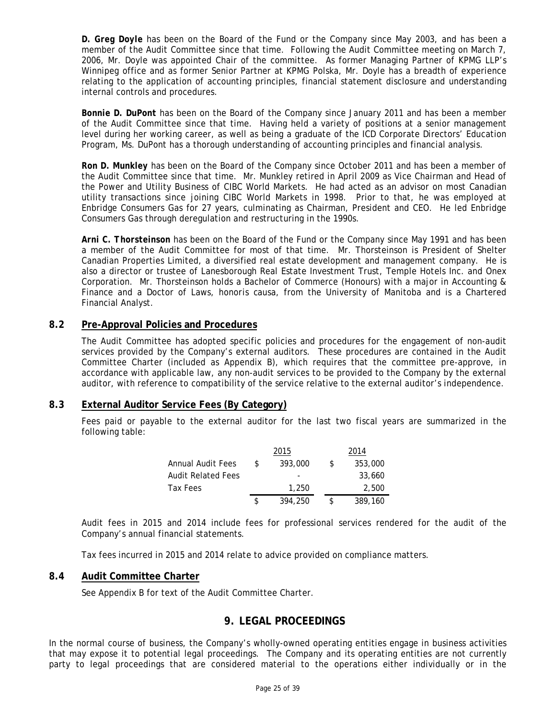*D. Greg Doyle* has been on the Board of the Fund or the Company since May 2003, and has been a member of the Audit Committee since that time. Following the Audit Committee meeting on March 7, 2006, Mr. Doyle was appointed Chair of the committee. As former Managing Partner of KPMG LLP's Winnipeg office and as former Senior Partner at KPMG Polska, Mr. Doyle has a breadth of experience relating to the application of accounting principles, financial statement disclosure and understanding internal controls and procedures.

*Bonnie D. DuPont* has been on the Board of the Company since January 2011 and has been a member of the Audit Committee since that time. Having held a variety of positions at a senior management level during her working career, as well as being a graduate of the ICD Corporate Directors' Education Program, Ms. DuPont has a thorough understanding of accounting principles and financial analysis.

*Ron D. Munkley* has been on the Board of the Company since October 2011 and has been a member of the Audit Committee since that time. Mr. Munkley retired in April 2009 as Vice Chairman and Head of the Power and Utility Business of CIBC World Markets. He had acted as an advisor on most Canadian utility transactions since joining CIBC World Markets in 1998. Prior to that, he was employed at Enbridge Consumers Gas for 27 years, culminating as Chairman, President and CEO. He led Enbridge Consumers Gas through deregulation and restructuring in the 1990s.

*Arni C. Thorsteinson* has been on the Board of the Fund or the Company since May 1991 and has been a member of the Audit Committee for most of that time. Mr. Thorsteinson is President of Shelter Canadian Properties Limited, a diversified real estate development and management company. He is also a director or trustee of Lanesborough Real Estate Investment Trust, Temple Hotels Inc. and Onex Corporation. Mr. Thorsteinson holds a Bachelor of Commerce (Honours) with a major in Accounting & Finance and a Doctor of Laws, *honoris causa*, from the University of Manitoba and is a Chartered Financial Analyst.

## <span id="page-24-0"></span>**8.2 Pre-Approval Policies and Procedures**

The Audit Committee has adopted specific policies and procedures for the engagement of non-audit services provided by the Company's external auditors. These procedures are contained in the Audit Committee Charter (included as Appendix B), which requires that the committee pre-approve, in accordance with applicable law, any non-audit services to be provided to the Company by the external auditor, with reference to compatibility of the service relative to the external auditor's independence.

## <span id="page-24-1"></span>**8.3 External Auditor Service Fees (By Category)**

Fees paid or payable to the external auditor for the last two fiscal years are summarized in the following table:

|                    |     | 2015    |     | 2014    |
|--------------------|-----|---------|-----|---------|
| Annual Audit Fees  | \$. | 393,000 | \$. | 353,000 |
| Audit Related Fees |     |         |     | 33,660  |
| Tax Fees           |     | 1,250   |     | 2,500   |
|                    |     | 394,250 |     | 389,160 |

Audit fees in 2015 and 2014 include fees for professional services rendered for the audit of the Company's annual financial statements.

Tax fees incurred in 2015 and 2014 relate to advice provided on compliance matters.

## <span id="page-24-3"></span><span id="page-24-2"></span>**8.4 Audit Committee Charter**

See Appendix B for text of the Audit Committee Charter.

## **9. LEGAL PROCEEDINGS**

In the normal course of business, the Company's wholly-owned operating entities engage in business activities that may expose it to potential legal proceedings. The Company and its operating entities are not currently party to legal proceedings that are considered material to the operations either individually or in the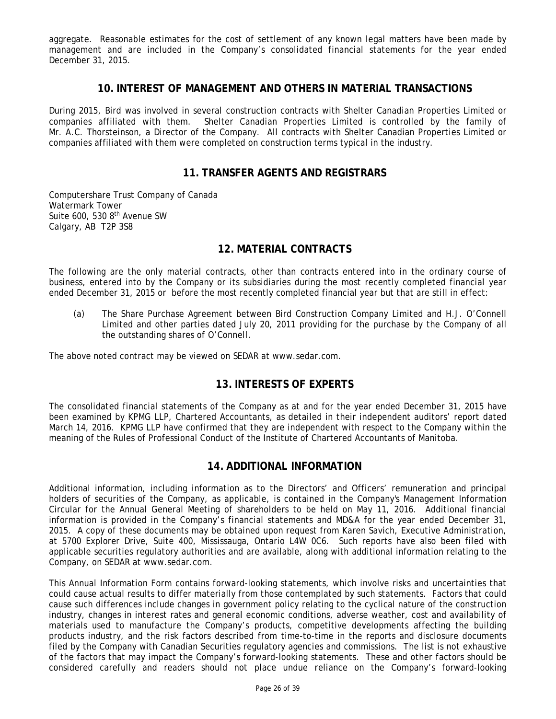<span id="page-25-0"></span>aggregate. Reasonable estimates for the cost of settlement of any known legal matters have been made by management and are included in the Company's consolidated financial statements for the year ended December 31, 2015.

### **10. INTEREST OF MANAGEMENT AND OTHERS IN MATERIAL TRANSACTIONS**

During 2015, Bird was involved in several construction contracts with Shelter Canadian Properties Limited or companies affiliated with them. Shelter Canadian Properties Limited is controlled by the family of Mr. A.C. Thorsteinson, a Director of the Company. All contracts with Shelter Canadian Properties Limited or companies affiliated with them were completed on construction terms typical in the industry.

## **11. TRANSFER AGENTS AND REGISTRARS**

<span id="page-25-1"></span>Computershare Trust Company of Canada Watermark Tower Suite 600, 530 8<sup>th</sup> Avenue SW Calgary, AB T2P 3S8

## **12. MATERIAL CONTRACTS**

<span id="page-25-2"></span>The following are the only material contracts, other than contracts entered into in the ordinary course of business, entered into by the Company or its subsidiaries during the most recently completed financial year ended December 31, 2015 or before the most recently completed financial year but that are still in effect:

(a) The Share Purchase Agreement between Bird Construction Company Limited and H.J. O'Connell Limited and other parties dated July 20, 2011 providing for the purchase by the Company of all the outstanding shares of O'Connell.

<span id="page-25-3"></span>The above noted contract may be viewed on SEDAR at www.sedar.com.

## **13. INTERESTS OF EXPERTS**

The consolidated financial statements of the Company as at and for the year ended December 31, 2015 have been examined by KPMG LLP, Chartered Accountants, as detailed in their independent auditors' report dated March 14, 2016. KPMG LLP have confirmed that they are independent with respect to the Company within the meaning of the Rules of Professional Conduct of the Institute of Chartered Accountants of Manitoba.

## **14. ADDITIONAL INFORMATION**

<span id="page-25-4"></span>Additional information, including information as to the Directors' and Officers' remuneration and principal holders of securities of the Company, as applicable, is contained in the Company's Management Information Circular for the Annual General Meeting of shareholders to be held on May 11, 2016. Additional financial information is provided in the Company's financial statements and MD&A for the year ended December 31, 2015. A copy of these documents may be obtained upon request from Karen Savich, Executive Administration, at 5700 Explorer Drive, Suite 400, Mississauga, Ontario L4W 0C6. Such reports have also been filed with applicable securities regulatory authorities and are available, along with additional information relating to the Company, on SEDAR at www.sedar.com.

This Annual Information Form contains forward-looking statements, which involve risks and uncertainties that could cause actual results to differ materially from those contemplated by such statements. Factors that could cause such differences include changes in government policy relating to the cyclical nature of the construction industry, changes in interest rates and general economic conditions, adverse weather, cost and availability of materials used to manufacture the Company's products, competitive developments affecting the building products industry, and the risk factors described from time-to-time in the reports and disclosure documents filed by the Company with Canadian Securities regulatory agencies and commissions. The list is not exhaustive of the factors that may impact the Company's forward-looking statements. These and other factors should be considered carefully and readers should not place undue reliance on the Company's forward-looking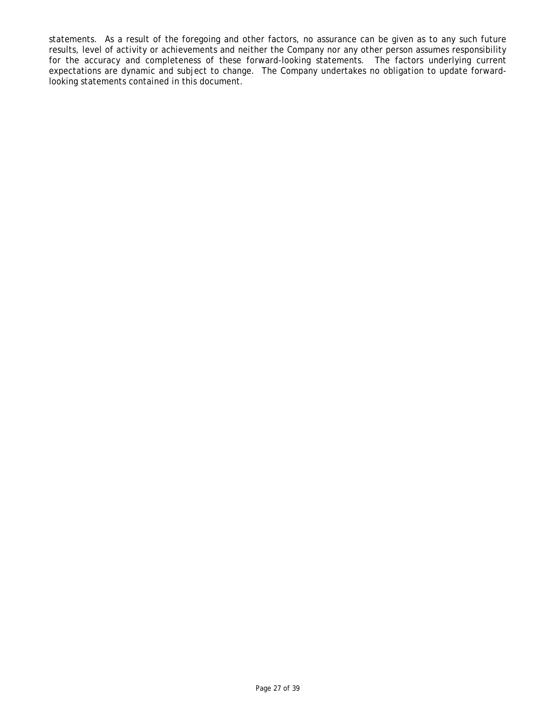statements. As a result of the foregoing and other factors, no assurance can be given as to any such future results, level of activity or achievements and neither the Company nor any other person assumes responsibility for the accuracy and completeness of these forward-looking statements. The factors underlying current expectations are dynamic and subject to change. The Company undertakes no obligation to update forwardlooking statements contained in this document.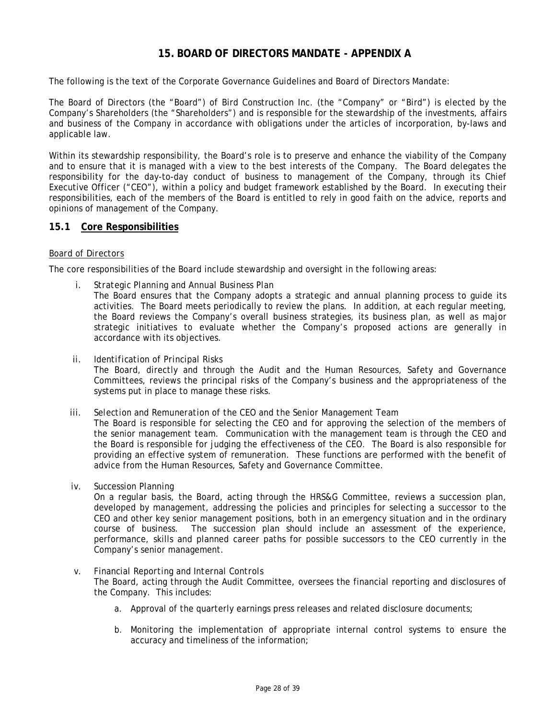## **15. BOARD OF DIRECTORS MANDATE - APPENDIX A**

<span id="page-27-0"></span>The following is the text of the Corporate Governance Guidelines and Board of Directors Mandate:

The Board of Directors (the "Board") of Bird Construction Inc. (the "Company" or "Bird") is elected by the Company's Shareholders (the "Shareholders") and is responsible for the stewardship of the investments, affairs and business of the Company in accordance with obligations under the articles of incorporation, by-laws and applicable law.

Within its stewardship responsibility, the Board's role is to preserve and enhance the viability of the Company and to ensure that it is managed with a view to the best interests of the Company. The Board delegates the responsibility for the day-to-day conduct of business to management of the Company, through its Chief Executive Officer ("CEO"), within a policy and budget framework established by the Board. In executing their responsibilities, each of the members of the Board is entitled to rely in good faith on the advice, reports and opinions of management of the Company.

### <span id="page-27-1"></span>**15.1 Core Responsibilities**

### *Board of Directors*

The core responsibilities of the Board include stewardship and oversight in the following areas:

- *i. Strategic Planning and Annual Business Plan* The Board ensures that the Company adopts a strategic and annual planning process to guide its activities. The Board meets periodically to review the plans. In addition, at each regular meeting, the Board reviews the Company's overall business strategies, its business plan, as well as major strategic initiatives to evaluate whether the Company's proposed actions are generally in accordance with its objectives.
- *ii. Identification of Principal Risks* The Board, directly and through the Audit and the Human Resources, Safety and Governance Committees, reviews the principal risks of the Company's business and the appropriateness of the systems put in place to manage these risks.

#### *iii. Selection and Remuneration of the CEO and the Senior Management Team*

The Board is responsible for selecting the CEO and for approving the selection of the members of the senior management team. Communication with the management team is through the CEO and the Board is responsible for judging the effectiveness of the CEO. The Board is also responsible for providing an effective system of remuneration. These functions are performed with the benefit of advice from the Human Resources, Safety and Governance Committee.

*iv. Succession Planning*

On a regular basis, the Board, acting through the HRS&G Committee, reviews a succession plan, developed by management, addressing the policies and principles for selecting a successor to the CEO and other key senior management positions, both in an emergency situation and in the ordinary course of business. The succession plan should include an assessment of the experience, performance, skills and planned career paths for possible successors to the CEO currently in the Company's senior management.

### *v. Financial Reporting and Internal Controls*

The Board, acting through the Audit Committee, oversees the financial reporting and disclosures of the Company. This includes:

- a. Approval of the quarterly earnings press releases and related disclosure documents;
- b. Monitoring the implementation of appropriate internal control systems to ensure the accuracy and timeliness of the information;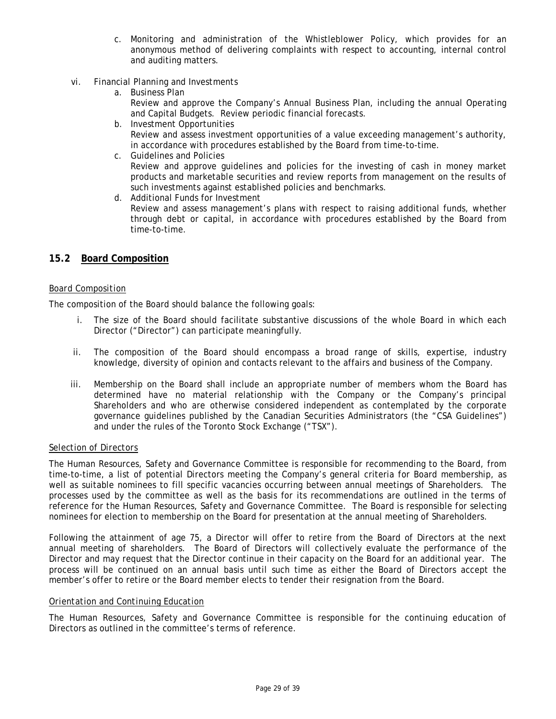- c. Monitoring and administration of the Whistleblower Policy, which provides for an anonymous method of delivering complaints with respect to accounting, internal control and auditing matters.
- *vi. Financial Planning and Investments*
	- a. Business Plan Review and approve the Company's Annual Business Plan, including the annual Operating and Capital Budgets. Review periodic financial forecasts.
	- b. Investment Opportunities Review and assess investment opportunities of a value exceeding management's authority, in accordance with procedures established by the Board from time-to-time.
	- c. Guidelines and Policies Review and approve guidelines and policies for the investing of cash in money market products and marketable securities and review reports from management on the results of such investments against established policies and benchmarks.
	- d. Additional Funds for Investment

Review and assess management's plans with respect to raising additional funds, whether through debt or capital, in accordance with procedures established by the Board from time-to-time.

## <span id="page-28-0"></span>**15.2 Board Composition**

### *Board Composition*

The composition of the Board should balance the following goals:

- i. The size of the Board should facilitate substantive discussions of the whole Board in which each Director ("Director") can participate meaningfully.
- ii. The composition of the Board should encompass a broad range of skills, expertise, industry knowledge, diversity of opinion and contacts relevant to the affairs and business of the Company.
- iii. Membership on the Board shall include an appropriate number of members whom the Board has determined have no material relationship with the Company or the Company's principal Shareholders and who are otherwise considered independent as contemplated by the corporate governance guidelines published by the Canadian Securities Administrators (the "CSA Guidelines") and under the rules of the Toronto Stock Exchange ("TSX").

### *Selection of Directors*

The Human Resources, Safety and Governance Committee is responsible for recommending to the Board, from time-to-time, a list of potential Directors meeting the Company's general criteria for Board membership, as well as suitable nominees to fill specific vacancies occurring between annual meetings of Shareholders. The processes used by the committee as well as the basis for its recommendations are outlined in the terms of reference for the Human Resources, Safety and Governance Committee. The Board is responsible for selecting nominees for election to membership on the Board for presentation at the annual meeting of Shareholders.

Following the attainment of age 75, a Director will offer to retire from the Board of Directors at the next annual meeting of shareholders. The Board of Directors will collectively evaluate the performance of the Director and may request that the Director continue in their capacity on the Board for an additional year. The process will be continued on an annual basis until such time as either the Board of Directors accept the member's offer to retire or the Board member elects to tender their resignation from the Board.

### *Orientation and Continuing Education*

The Human Resources, Safety and Governance Committee is responsible for the continuing education of Directors as outlined in the committee's terms of reference.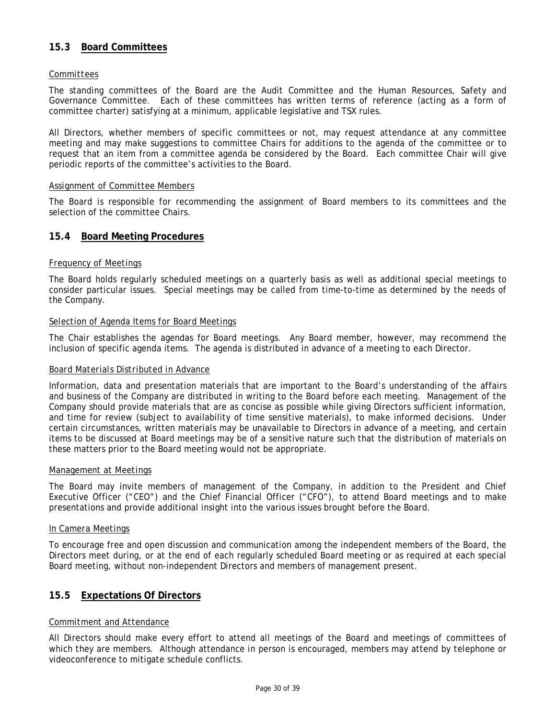## <span id="page-29-0"></span>**15.3 Board Committees**

### *Committees*

The standing committees of the Board are the Audit Committee and the Human Resources, Safety and Governance Committee. Each of these committees has written terms of reference (acting as a form of committee charter) satisfying at a minimum, applicable legislative and TSX rules.

All Directors, whether members of specific committees or not, may request attendance at any committee meeting and may make suggestions to committee Chairs for additions to the agenda of the committee or to request that an item from a committee agenda be considered by the Board. Each committee Chair will give periodic reports of the committee's activities to the Board.

### *Assignment of Committee Members*

The Board is responsible for recommending the assignment of Board members to its committees and the selection of the committee Chairs.

### <span id="page-29-1"></span>**15.4 Board Meeting Procedures**

### *Frequency of Meetings*

The Board holds regularly scheduled meetings on a quarterly basis as well as additional special meetings to consider particular issues. Special meetings may be called from time-to-time as determined by the needs of the Company.

### *Selection of Agenda Items for Board Meetings*

The Chair establishes the agendas for Board meetings. Any Board member, however, may recommend the inclusion of specific agenda items. The agenda is distributed in advance of a meeting to each Director.

### *Board Materials Distributed in Advance*

Information, data and presentation materials that are important to the Board's understanding of the affairs and business of the Company are distributed in writing to the Board before each meeting. Management of the Company should provide materials that are as concise as possible while giving Directors sufficient information, and time for review (subject to availability of time sensitive materials), to make informed decisions. Under certain circumstances, written materials may be unavailable to Directors in advance of a meeting, and certain items to be discussed at Board meetings may be of a sensitive nature such that the distribution of materials on these matters prior to the Board meeting would not be appropriate.

### *Management at Meetings*

The Board may invite members of management of the Company, in addition to the President and Chief Executive Officer ("CEO") and the Chief Financial Officer ("CFO"), to attend Board meetings and to make presentations and provide additional insight into the various issues brought before the Board.

### *In Camera Meetings*

To encourage free and open discussion and communication among the independent members of the Board, the Directors meet during, or at the end of each regularly scheduled Board meeting or as required at each special Board meeting, without non-independent Directors and members of management present.

## <span id="page-29-2"></span>**15.5 Expectations Of Directors**

### *Commitment and Attendance*

All Directors should make every effort to attend all meetings of the Board and meetings of committees of which they are members. Although attendance in person is encouraged, members may attend by telephone or videoconference to mitigate schedule conflicts.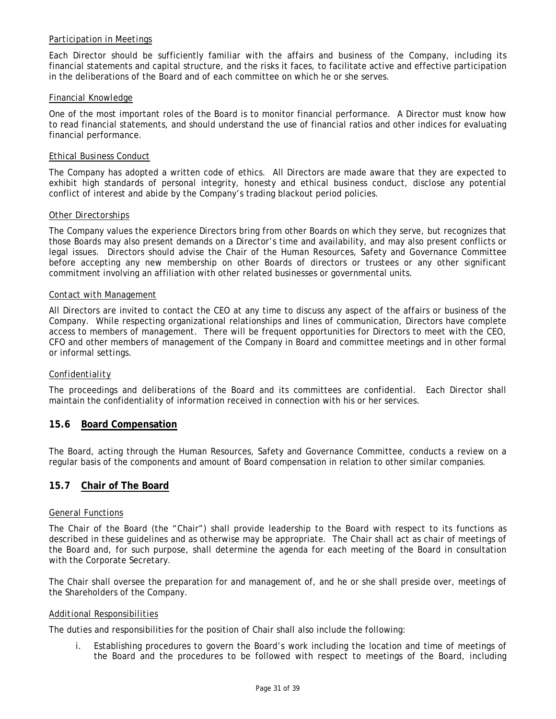## *Participation in Meetings*

Each Director should be sufficiently familiar with the affairs and business of the Company, including its financial statements and capital structure, and the risks it faces, to facilitate active and effective participation in the deliberations of the Board and of each committee on which he or she serves.

### *Financial Knowledge*

One of the most important roles of the Board is to monitor financial performance. A Director must know how to read financial statements, and should understand the use of financial ratios and other indices for evaluating financial performance.

### *Ethical Business Conduct*

The Company has adopted a written code of ethics. All Directors are made aware that they are expected to exhibit high standards of personal integrity, honesty and ethical business conduct, disclose any potential conflict of interest and abide by the Company's trading blackout period policies.

### *Other Directorships*

The Company values the experience Directors bring from other Boards on which they serve, but recognizes that those Boards may also present demands on a Director's time and availability, and may also present conflicts or legal issues. Directors should advise the Chair of the Human Resources, Safety and Governance Committee before accepting any new membership on other Boards of directors or trustees or any other significant commitment involving an affiliation with other related businesses or governmental units.

### *Contact with Management*

All Directors are invited to contact the CEO at any time to discuss any aspect of the affairs or business of the Company. While respecting organizational relationships and lines of communication, Directors have complete access to members of management. There will be frequent opportunities for Directors to meet with the CEO, CFO and other members of management of the Company in Board and committee meetings and in other formal or informal settings.

### *Confidentiality*

The proceedings and deliberations of the Board and its committees are confidential. Each Director shall maintain the confidentiality of information received in connection with his or her services.

## <span id="page-30-0"></span>**15.6 Board Compensation**

The Board, acting through the Human Resources, Safety and Governance Committee, conducts a review on a regular basis of the components and amount of Board compensation in relation to other similar companies.

## <span id="page-30-1"></span>**15.7 Chair of The Board**

### *General Functions*

The Chair of the Board (the "Chair") shall provide leadership to the Board with respect to its functions as described in these guidelines and as otherwise may be appropriate. The Chair shall act as chair of meetings of the Board and, for such purpose, shall determine the agenda for each meeting of the Board in consultation with the Corporate Secretary.

The Chair shall oversee the preparation for and management of, and he or she shall preside over, meetings of the Shareholders of the Company.

### *Additional Responsibilities*

The duties and responsibilities for the position of Chair shall also include the following:

i. Establishing procedures to govern the Board's work including the location and time of meetings of the Board and the procedures to be followed with respect to meetings of the Board, including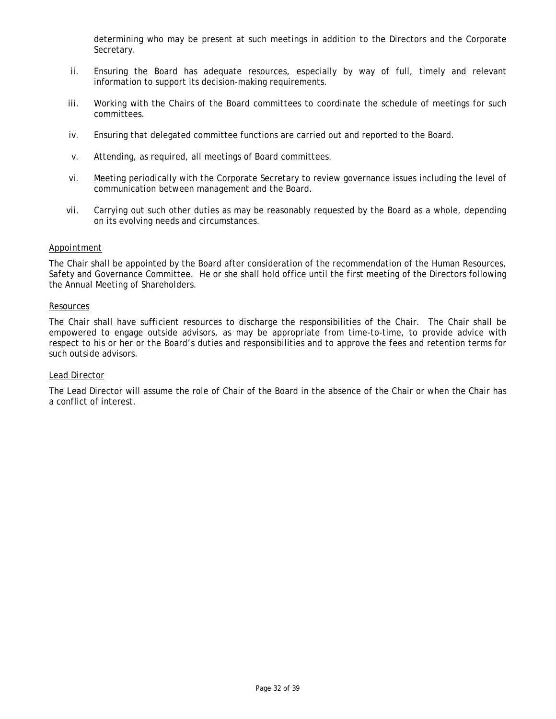determining who may be present at such meetings in addition to the Directors and the Corporate Secretary.

- ii. Ensuring the Board has adequate resources, especially by way of full, timely and relevant information to support its decision-making requirements.
- iii. Working with the Chairs of the Board committees to coordinate the schedule of meetings for such committees.
- iv. Ensuring that delegated committee functions are carried out and reported to the Board.
- v. Attending, as required, all meetings of Board committees.
- vi. Meeting periodically with the Corporate Secretary to review governance issues including the level of communication between management and the Board.
- vii. Carrying out such other duties as may be reasonably requested by the Board as a whole, depending on its evolving needs and circumstances.

### *Appointment*

The Chair shall be appointed by the Board after consideration of the recommendation of the Human Resources, Safety and Governance Committee. He or she shall hold office until the first meeting of the Directors following the Annual Meeting of Shareholders.

### *Resources*

The Chair shall have sufficient resources to discharge the responsibilities of the Chair. The Chair shall be empowered to engage outside advisors, as may be appropriate from time-to-time, to provide advice with respect to his or her or the Board's duties and responsibilities and to approve the fees and retention terms for such outside advisors.

#### *Lead Director*

The Lead Director will assume the role of Chair of the Board in the absence of the Chair or when the Chair has a conflict of interest.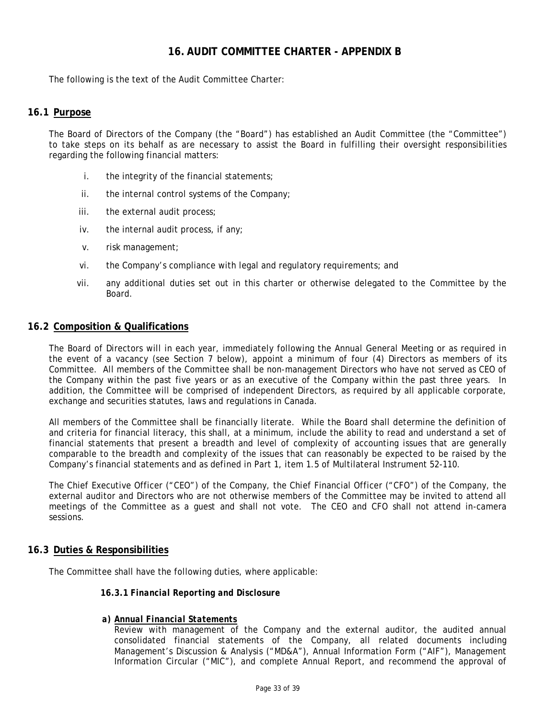## **16. AUDIT COMMITTEE CHARTER - APPENDIX B**

<span id="page-32-1"></span><span id="page-32-0"></span>The following is the text of the Audit Committee Charter:

## **16.1 Purpose**

The Board of Directors of the Company (the "Board") has established an Audit Committee (the "Committee") to take steps on its behalf as are necessary to assist the Board in fulfilling their oversight responsibilities regarding the following financial matters:

- i. the integrity of the financial statements;
- ii. the internal control systems of the Company;
- iii. the external audit process;
- iv. the internal audit process, if any;
- v. risk management;
- vi. the Company's compliance with legal and regulatory requirements; and
- vii. any additional duties set out in this charter or otherwise delegated to the Committee by the Board.

### <span id="page-32-2"></span>**16.2 Composition & Qualifications**

The Board of Directors will in each year, immediately following the Annual General Meeting or as required in the event of a vacancy (see Section 7 below), appoint a minimum of four (4) Directors as members of its Committee. All members of the Committee shall be non-management Directors who have not served as CEO of the Company within the past five years or as an executive of the Company within the past three years. In addition, the Committee will be comprised of independent Directors, as required by all applicable corporate, exchange and securities statutes, laws and regulations in Canada.

All members of the Committee shall be financially literate. While the Board shall determine the definition of and criteria for financial literacy, this shall, at a minimum, include the ability to read and understand a set of financial statements that present a breadth and level of complexity of accounting issues that are generally comparable to the breadth and complexity of the issues that can reasonably be expected to be raised by the Company's financial statements and as defined in Part 1, item 1.5 of Multilateral Instrument 52-110.

The Chief Executive Officer ("CEO") of the Company, the Chief Financial Officer ("CFO") of the Company, the external auditor and Directors who are not otherwise members of the Committee may be invited to attend all meetings of the Committee as a guest and shall not vote. The CEO and CFO shall not attend in-camera sessions.

### <span id="page-32-3"></span>**16.3 Duties & Responsibilities**

<span id="page-32-4"></span>The Committee shall have the following duties, where applicable:

#### **16.3.1** *Financial Reporting and Disclosure*

#### *a) Annual Financial Statements*

Review with management of the Company and the external auditor, the audited annual consolidated financial statements of the Company, all related documents including Management's Discussion & Analysis ("MD&A"), Annual Information Form ("AIF"), Management Information Circular ("MIC"), and complete Annual Report, and recommend the approval of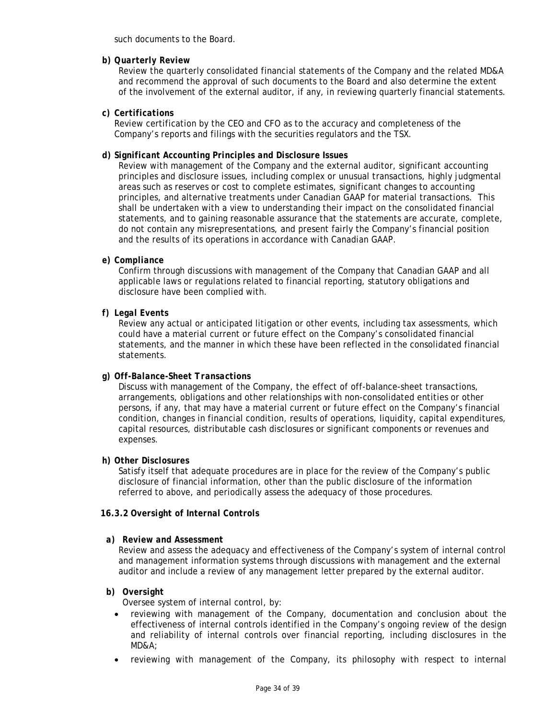such documents to the Board.

### *b) Quarterly Review*

Review the quarterly consolidated financial statements of the Company and the related MD&A and recommend the approval of such documents to the Board and also determine the extent of the involvement of the external auditor, if any, in reviewing quarterly financial statements.

### *c) Certifications*

Review certification by the CEO and CFO as to the accuracy and completeness of the Company's reports and filings with the securities regulators and the TSX.

### *d) Significant Accounting Principles and Disclosure Issues*

Review with management of the Company and the external auditor, significant accounting principles and disclosure issues, including complex or unusual transactions, highly judgmental areas such as reserves or cost to complete estimates, significant changes to accounting principles, and alternative treatments under Canadian GAAP for material transactions. This shall be undertaken with a view to understanding their impact on the consolidated financial statements, and to gaining reasonable assurance that the statements are accurate, complete, do not contain any misrepresentations, and present fairly the Company's financial position and the results of its operations in accordance with Canadian GAAP.

### *e) Compliance*

Confirm through discussions with management of the Company that Canadian GAAP and all applicable laws or regulations related to financial reporting, statutory obligations and disclosure have been complied with.

### *f) Legal Events*

Review any actual or anticipated litigation or other events, including tax assessments, which could have a material current or future effect on the Company's consolidated financial statements, and the manner in which these have been reflected in the consolidated financial statements.

### *g) Off-Balance-Sheet Transactions*

Discuss with management of the Company, the effect of off-balance-sheet transactions, arrangements, obligations and other relationships with non-consolidated entities or other persons, if any, that may have a material current or future effect on the Company's financial condition, changes in financial condition, results of operations, liquidity, capital expenditures, capital resources, distributable cash disclosures or significant components or revenues and expenses.

### *h) Other Disclosures*

Satisfy itself that adequate procedures are in place for the review of the Company's public disclosure of financial information, other than the public disclosure of the information referred to above, and periodically assess the adequacy of those procedures.

### <span id="page-33-0"></span>**16.3.2** *Oversight of Internal Controls*

### *a) Review and Assessment*

Review and assess the adequacy and effectiveness of the Company's system of internal control and management information systems through discussions with management and the external auditor and include a review of any management letter prepared by the external auditor.

### *b) Oversight*

Oversee system of internal control, by:

- reviewing with management of the Company, documentation and conclusion about the effectiveness of internal controls identified in the Company's ongoing review of the design and reliability of internal controls over financial reporting, including disclosures in the MD&A;
- reviewing with management of the Company, its philosophy with respect to internal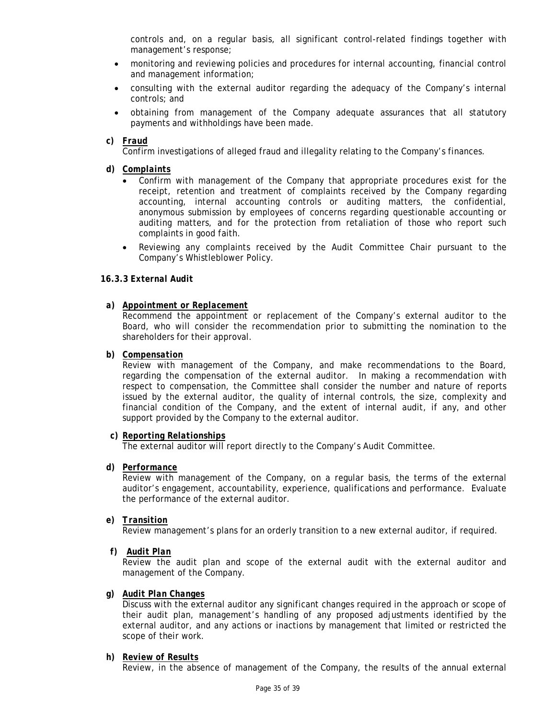controls and, on a regular basis, all significant control-related findings together with management's response;

- monitoring and reviewing policies and procedures for internal accounting, financial control and management information;
- consulting with the external auditor regarding the adequacy of the Company's internal controls; and
- obtaining from management of the Company adequate assurances that all statutory payments and withholdings have been made.
- *c) Fraud*

Confirm investigations of alleged fraud and illegality relating to the Company's finances.

- *d) Complaints*
	- Confirm with management of the Company that appropriate procedures exist for the receipt, retention and treatment of complaints received by the Company regarding accounting, internal accounting controls or auditing matters, the confidential, anonymous submission by employees of concerns regarding questionable accounting or auditing matters, and for the protection from retaliation of those who report such complaints in good faith.
	- Reviewing any complaints received by the Audit Committee Chair pursuant to the Company's Whistleblower Policy.

### <span id="page-34-0"></span>**16.3.3** *External Audit*

### *a) Appointment or Replacement*

Recommend the appointment or replacement of the Company's external auditor to the Board, who will consider the recommendation prior to submitting the nomination to the shareholders for their approval.

### *b) Compensation*

Review with management of the Company, and make recommendations to the Board, regarding the compensation of the external auditor. In making a recommendation with respect to compensation, the Committee shall consider the number and nature of reports issued by the external auditor, the quality of internal controls, the size, complexity and financial condition of the Company, and the extent of internal audit, if any, and other support provided by the Company to the external auditor.

### *c) Reporting Relationships*

The external auditor will report directly to the Company's Audit Committee.

*d) Performance*

Review with management of the Company, on a regular basis, the terms of the external auditor's engagement, accountability, experience, qualifications and performance. Evaluate the performance of the external auditor.

*e) Transition*

Review management's plans for an orderly transition to a new external auditor, if required.

*f) Audit Plan*

Review the audit plan and scope of the external audit with the external auditor and management of the Company.

### *g) Audit Plan Changes*

Discuss with the external auditor any significant changes required in the approach or scope of their audit plan, management's handling of any proposed adjustments identified by the external auditor, and any actions or inactions by management that limited or restricted the scope of their work.

## *h) Review of Results*

Review, in the absence of management of the Company, the results of the annual external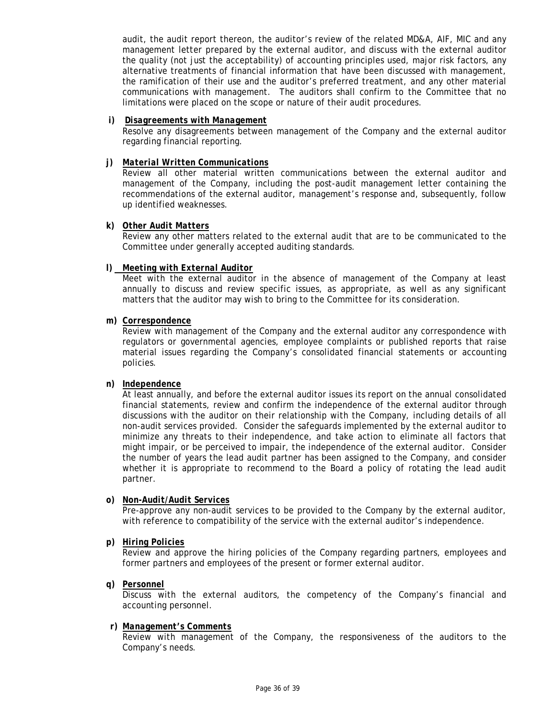audit, the audit report thereon, the auditor's review of the related MD&A, AIF, MIC and any management letter prepared by the external auditor, and discuss with the external auditor the quality (not just the acceptability) of accounting principles used, major risk factors, any alternative treatments of financial information that have been discussed with management, the ramification of their use and the auditor's preferred treatment, and any other material communications with management. The auditors shall confirm to the Committee that no limitations were placed on the scope or nature of their audit procedures.

### *i) Disagreements with Management*

Resolve any disagreements between management of the Company and the external auditor regarding financial reporting.

### *j) Material Written Communications*

Review all other material written communications between the external auditor and management of the Company, including the post-audit management letter containing the recommendations of the external auditor, management's response and, subsequently, follow up identified weaknesses.

### *k) Other Audit Matters*

Review any other matters related to the external audit that are to be communicated to the Committee under generally accepted auditing standards.

#### *l) Meeting with External Auditor*

Meet with the external auditor in the absence of management of the Company at least annually to discuss and review specific issues, as appropriate, as well as any significant matters that the auditor may wish to bring to the Committee for its consideration.

#### *m) Correspondence*

Review with management of the Company and the external auditor any correspondence with regulators or governmental agencies, employee complaints or published reports that raise material issues regarding the Company's consolidated financial statements or accounting policies.

### *n) Independence*

At least annually, and before the external auditor issues its report on the annual consolidated financial statements, review and confirm the independence of the external auditor through discussions with the auditor on their relationship with the Company, including details of all non-audit services provided. Consider the safeguards implemented by the external auditor to minimize any threats to their independence, and take action to eliminate all factors that might impair, or be perceived to impair, the independence of the external auditor. Consider the number of years the lead audit partner has been assigned to the Company, and consider whether it is appropriate to recommend to the Board a policy of rotating the lead audit partner.

#### *o) Non-Audit/Audit Services*

Pre-approve any non-audit services to be provided to the Company by the external auditor, with reference to compatibility of the service with the external auditor's independence.

#### *p) Hiring Policies*

Review and approve the hiring policies of the Company regarding partners, employees and former partners and employees of the present or former external auditor.

*q) Personnel*

Discuss with the external auditors, the competency of the Company's financial and accounting personnel.

#### *r) Management's Comments*

Review with management of the Company, the responsiveness of the auditors to the Company's needs.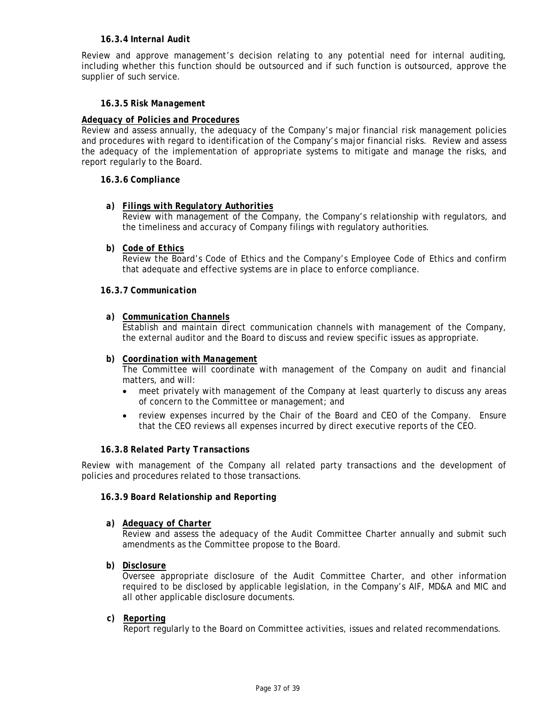### **16.3.4** *Internal Audit*

<span id="page-36-0"></span>Review and approve management's decision relating to any potential need for internal auditing, including whether this function should be outsourced and if such function is outsourced, approve the supplier of such service.

### **16.3.5** *Risk Management*

## <span id="page-36-1"></span>*Adequacy of Policies and Procedures*

Review and assess annually, the adequacy of the Company's major financial risk management policies and procedures with regard to identification of the Company's major financial risks. Review and assess the adequacy of the implementation of appropriate systems to mitigate and manage the risks, and report regularly to the Board.

### <span id="page-36-2"></span>**16.3.6** *Compliance*

### *a) Filings with Regulatory Authorities*

Review with management of the Company, the Company's relationship with regulators, and the timeliness and accuracy of Company filings with regulatory authorities.

*b) Code of Ethics*

Review the Board's Code of Ethics and the Company's Employee Code of Ethics and confirm that adequate and effective systems are in place to enforce compliance.

### <span id="page-36-3"></span>**16.3.7** *Communication*

### *a) Communication Channels*

Establish and maintain direct communication channels with management of the Company, the external auditor and the Board to discuss and review specific issues as appropriate.

### *b) Coordination with Management*

The Committee will coordinate with management of the Company on audit and financial matters, and will:

- meet privately with management of the Company at least quarterly to discuss any areas of concern to the Committee or management; and
- review expenses incurred by the Chair of the Board and CEO of the Company. Ensure that the CEO reviews all expenses incurred by direct executive reports of the CEO.

### **16.3.8** *Related Party Transactions*

<span id="page-36-5"></span><span id="page-36-4"></span>Review with management of the Company all related party transactions and the development of policies and procedures related to those transactions.

### **16.3.9** *Board Relationship and Reporting*

*a) Adequacy of Charter*

Review and assess the adequacy of the Audit Committee Charter annually and submit such amendments as the Committee propose to the Board.

*b) Disclosure*

Oversee appropriate disclosure of the Audit Committee Charter, and other information required to be disclosed by applicable legislation, in the Company's AIF, MD&A and MIC and all other applicable disclosure documents.

*c) Reporting*

Report regularly to the Board on Committee activities, issues and related recommendations.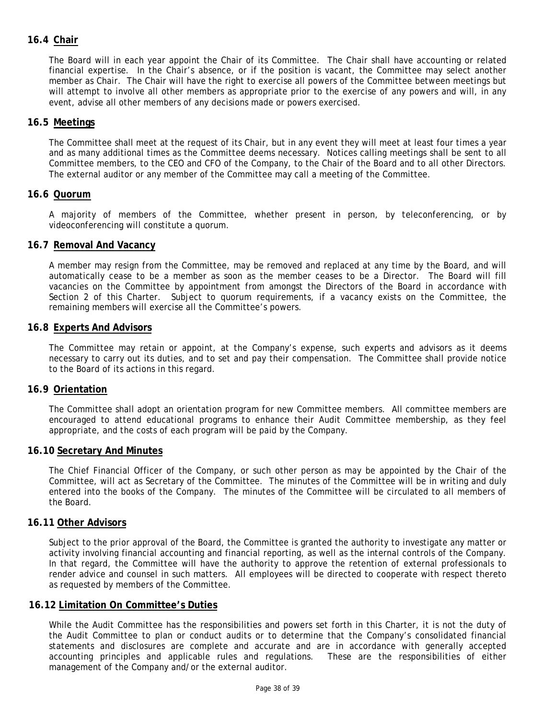## <span id="page-37-0"></span>**16.4 Chair**

The Board will in each year appoint the Chair of its Committee. The Chair shall have accounting or related financial expertise. In the Chair's absence, or if the position is vacant, the Committee may select another member as Chair. The Chair will have the right to exercise all powers of the Committee between meetings but will attempt to involve all other members as appropriate prior to the exercise of any powers and will, in any event, advise all other members of any decisions made or powers exercised.

## <span id="page-37-1"></span>**16.5 Meetings**

The Committee shall meet at the request of its Chair, but in any event they will meet at least four times a year and as many additional times as the Committee deems necessary. Notices calling meetings shall be sent to all Committee members, to the CEO and CFO of the Company, to the Chair of the Board and to all other Directors. The external auditor or any member of the Committee may call a meeting of the Committee.

## <span id="page-37-2"></span>**16.6 Quorum**

<span id="page-37-3"></span>A majority of members of the Committee, whether present in person, by teleconferencing, or by videoconferencing will constitute a quorum.

### **16.7 Removal And Vacancy**

A member may resign from the Committee, may be removed and replaced at any time by the Board, and will automatically cease to be a member as soon as the member ceases to be a Director. The Board will fill vacancies on the Committee by appointment from amongst the Directors of the Board in accordance with Section 2 of this Charter. Subject to quorum requirements, if a vacancy exists on the Committee, the remaining members will exercise all the Committee's powers.

### <span id="page-37-4"></span>**16.8 Experts And Advisors**

The Committee may retain or appoint, at the Company's expense, such experts and advisors as it deems necessary to carry out its duties, and to set and pay their compensation. The Committee shall provide notice to the Board of its actions in this regard.

## <span id="page-37-5"></span>**16.9 Orientation**

The Committee shall adopt an orientation program for new Committee members. All committee members are encouraged to attend educational programs to enhance their Audit Committee membership, as they feel appropriate, and the costs of each program will be paid by the Company.

### <span id="page-37-6"></span>**16.10 Secretary And Minutes**

The Chief Financial Officer of the Company, or such other person as may be appointed by the Chair of the Committee, will act as Secretary of the Committee. The minutes of the Committee will be in writing and duly entered into the books of the Company. The minutes of the Committee will be circulated to all members of the Board.

### <span id="page-37-7"></span>**16.11 Other Advisors**

Subject to the prior approval of the Board, the Committee is granted the authority to investigate any matter or activity involving financial accounting and financial reporting, as well as the internal controls of the Company. In that regard, the Committee will have the authority to approve the retention of external professionals to render advice and counsel in such matters. All employees will be directed to cooperate with respect thereto as requested by members of the Committee.

### <span id="page-37-8"></span>**16.12 Limitation On Committee's Duties**

While the Audit Committee has the responsibilities and powers set forth in this Charter, it is not the duty of the Audit Committee to plan or conduct audits or to determine that the Company's consolidated financial statements and disclosures are complete and accurate and are in accordance with generally accepted accounting principles and applicable rules and regulations. These are the responsibilities of either management of the Company and/or the external auditor.